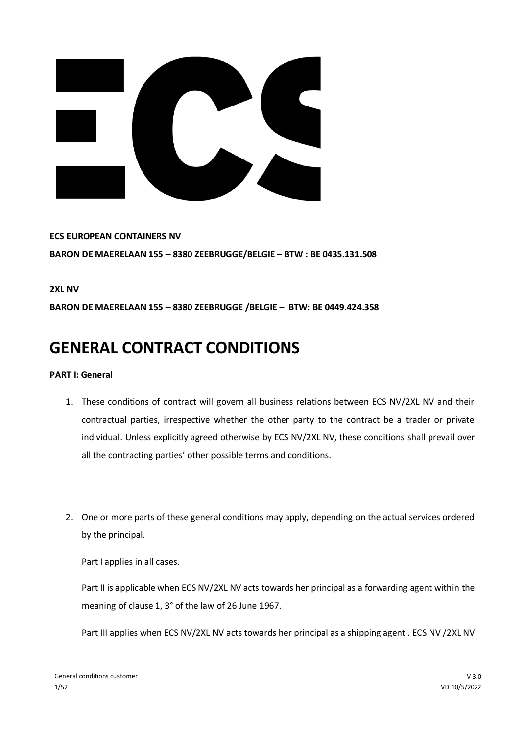

**ECS EUROPEAN CONTAINERS NV BARON DE MAERELAAN 155 – 8380 ZEEBRUGGE/BELGIE – BTW : BE 0435.131.508**

**2XL NV**

**BARON DE MAERELAAN 155 – 8380 ZEEBRUGGE /BELGIE – BTW: BE 0449.424.358**

# **GENERAL CONTRACT CONDITIONS**

## **PART I: General**

- 1. These conditions of contract will govern all business relations between ECS NV/2XL NV and their contractual parties, irrespective whether the other party to the contract be a trader or private individual. Unless explicitly agreed otherwise by ECS NV/2XL NV, these conditions shall prevail over all the contracting parties' other possible terms and conditions.
- 2. One or more parts of these general conditions may apply, depending on the actual services ordered by the principal.

Part I applies in all cases.

Part II is applicable when ECS NV/2XL NV acts towards her principal as a forwarding agent within the meaning of clause 1, 3° of the law of 26 June 1967.

Part III applies when ECS NV/2XL NV acts towards her principal as a shipping agent . ECS NV /2XL NV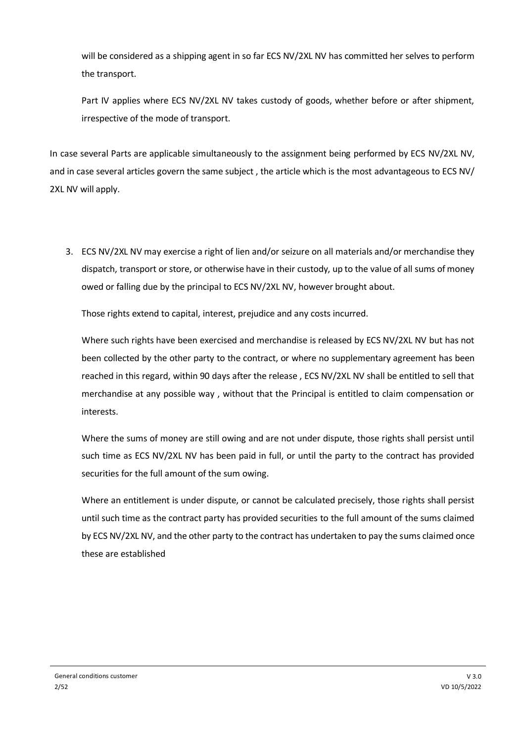will be considered as a shipping agent in so far ECS NV/2XL NV has committed her selves to perform the transport.

Part IV applies where ECS NV/2XL NV takes custody of goods, whether before or after shipment, irrespective of the mode of transport.

In case several Parts are applicable simultaneously to the assignment being performed by ECS NV/2XL NV, and in case several articles govern the same subject , the article which is the most advantageous to ECS NV/ 2XL NV will apply.

3. ECS NV/2XL NV may exercise a right of lien and/or seizure on all materials and/or merchandise they dispatch, transport or store, or otherwise have in their custody, up to the value of all sums of money owed or falling due by the principal to ECS NV/2XL NV, however brought about.

Those rights extend to capital, interest, prejudice and any costs incurred.

Where such rights have been exercised and merchandise is released by ECS NV/2XL NV but has not been collected by the other party to the contract, or where no supplementary agreement has been reached in this regard, within 90 days after the release , ECS NV/2XL NV shall be entitled to sell that merchandise at any possible way , without that the Principal is entitled to claim compensation or interests.

Where the sums of money are still owing and are not under dispute, those rights shall persist until such time as ECS NV/2XL NV has been paid in full, or until the party to the contract has provided securities for the full amount of the sum owing.

Where an entitlement is under dispute, or cannot be calculated precisely, those rights shall persist until such time as the contract party has provided securities to the full amount of the sums claimed by ECS NV/2XL NV, and the other party to the contract has undertaken to pay the sums claimed once these are established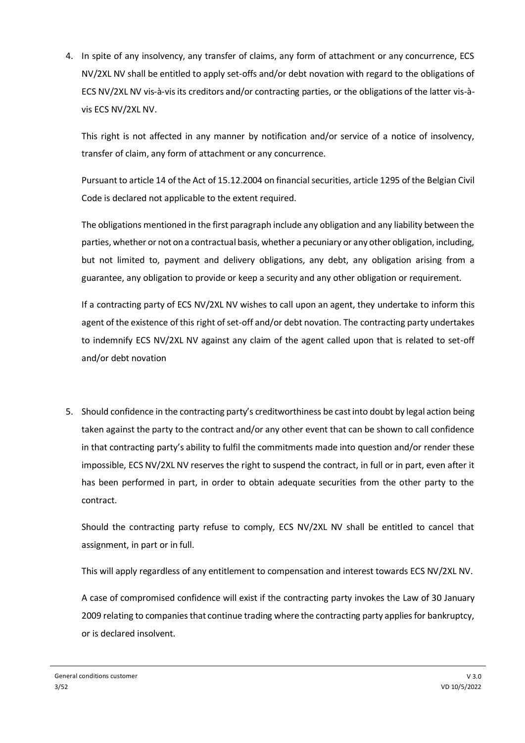4. In spite of any insolvency, any transfer of claims, any form of attachment or any concurrence, ECS NV/2XL NV shall be entitled to apply set-offs and/or debt novation with regard to the obligations of ECS NV/2XL NV vis-à-vis its creditors and/or contracting parties, or the obligations of the latter vis-àvis ECS NV/2XL NV.

This right is not affected in any manner by notification and/or service of a notice of insolvency, transfer of claim, any form of attachment or any concurrence.

Pursuant to article 14 of the Act of 15.12.2004 on financial securities, article 1295 of the Belgian Civil Code is declared not applicable to the extent required.

The obligations mentioned in the first paragraph include any obligation and any liability between the parties, whether or not on a contractual basis, whether a pecuniary or any other obligation, including, but not limited to, payment and delivery obligations, any debt, any obligation arising from a guarantee, any obligation to provide or keep a security and any other obligation or requirement.

If a contracting party of ECS NV/2XL NV wishes to call upon an agent, they undertake to inform this agent of the existence of this right of set-off and/or debt novation. The contracting party undertakes to indemnify ECS NV/2XL NV against any claim of the agent called upon that is related to set-off and/or debt novation

5. Should confidence in the contracting party's creditworthiness be cast into doubt by legal action being taken against the party to the contract and/or any other event that can be shown to call confidence in that contracting party's ability to fulfil the commitments made into question and/or render these impossible, ECS NV/2XL NV reserves the right to suspend the contract, in full or in part, even after it has been performed in part, in order to obtain adequate securities from the other party to the contract.

Should the contracting party refuse to comply, ECS NV/2XL NV shall be entitled to cancel that assignment, in part or in full.

This will apply regardless of any entitlement to compensation and interest towards ECS NV/2XL NV.

A case of compromised confidence will exist if the contracting party invokes the Law of 30 January 2009 relating to companies that continue trading where the contracting party applies for bankruptcy, or is declared insolvent.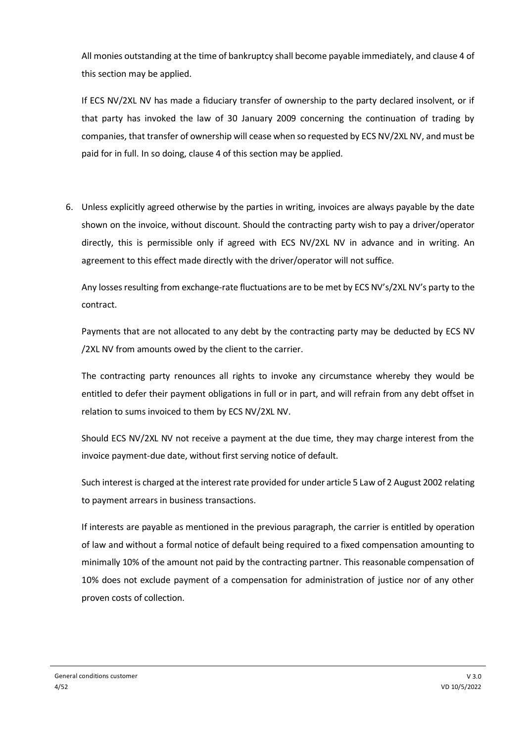All monies outstanding at the time of bankruptcy shall become payable immediately, and clause 4 of this section may be applied.

If ECS NV/2XL NV has made a fiduciary transfer of ownership to the party declared insolvent, or if that party has invoked the law of 30 January 2009 concerning the continuation of trading by companies, that transfer of ownership will cease when so requested by ECS NV/2XL NV, and must be paid for in full. In so doing, clause 4 of this section may be applied.

6. Unless explicitly agreed otherwise by the parties in writing, invoices are always payable by the date shown on the invoice, without discount. Should the contracting party wish to pay a driver/operator directly, this is permissible only if agreed with ECS NV/2XL NV in advance and in writing. An agreement to this effect made directly with the driver/operator will not suffice.

Any losses resulting from exchange-rate fluctuations are to be met by ECS NV's/2XL NV's party to the contract.

Payments that are not allocated to any debt by the contracting party may be deducted by ECS NV /2XL NV from amounts owed by the client to the carrier.

The contracting party renounces all rights to invoke any circumstance whereby they would be entitled to defer their payment obligations in full or in part, and will refrain from any debt offset in relation to sums invoiced to them by ECS NV/2XL NV.

Should ECS NV/2XL NV not receive a payment at the due time, they may charge interest from the invoice payment-due date, without first serving notice of default.

Such interest is charged at the interest rate provided for under article 5 Law of 2 August 2002 relating to payment arrears in business transactions.

If interests are payable as mentioned in the previous paragraph, the carrier is entitled by operation of law and without a formal notice of default being required to a fixed compensation amounting to minimally 10% of the amount not paid by the contracting partner. This reasonable compensation of 10% does not exclude payment of a compensation for administration of justice nor of any other proven costs of collection.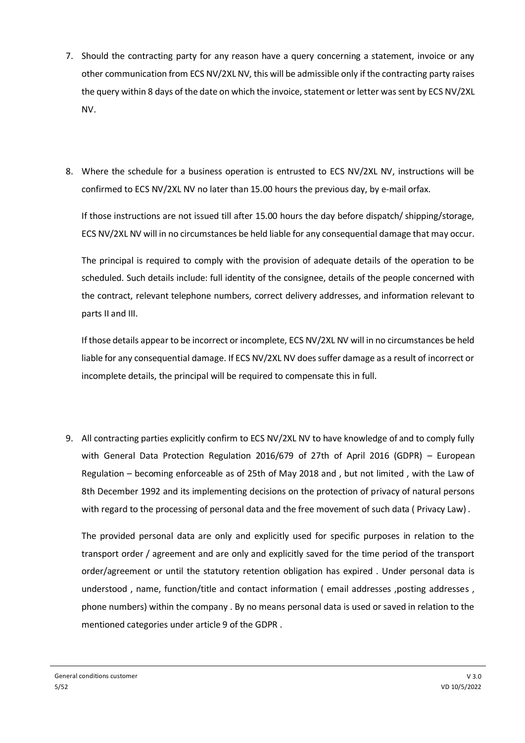- 7. Should the contracting party for any reason have a query concerning a statement, invoice or any other communication from ECS NV/2XL NV, this will be admissible only if the contracting party raises the query within 8 days of the date on which the invoice, statement or letter was sent by ECS NV/2XL NV.
- 8. Where the schedule for a business operation is entrusted to ECS NV/2XL NV, instructions will be confirmed to ECS NV/2XL NV no later than 15.00 hours the previous day, by e-mail orfax.

If those instructions are not issued till after 15.00 hours the day before dispatch/ shipping/storage, ECS NV/2XL NV will in no circumstances be held liable for any consequential damage that may occur.

The principal is required to comply with the provision of adequate details of the operation to be scheduled. Such details include: full identity of the consignee, details of the people concerned with the contract, relevant telephone numbers, correct delivery addresses, and information relevant to parts II and III.

If those details appear to be incorrect or incomplete, ECS NV/2XL NV will in no circumstances be held liable for any consequential damage. If ECS NV/2XL NV does suffer damage as a result of incorrect or incomplete details, the principal will be required to compensate this in full.

9. All contracting parties explicitly confirm to ECS NV/2XL NV to have knowledge of and to comply fully with General Data Protection Regulation 2016/679 of 27th of April 2016 (GDPR) – European Regulation – becoming enforceable as of 25th of May 2018 and , but not limited , with the Law of 8th December 1992 and its implementing decisions on the protection of privacy of natural persons with regard to the processing of personal data and the free movement of such data ( Privacy Law) .

The provided personal data are only and explicitly used for specific purposes in relation to the transport order / agreement and are only and explicitly saved for the time period of the transport order/agreement or until the statutory retention obligation has expired . Under personal data is understood, name, function/title and contact information (email addresses, posting addresses, phone numbers) within the company . By no means personal data is used or saved in relation to the mentioned categories under article 9 of the GDPR .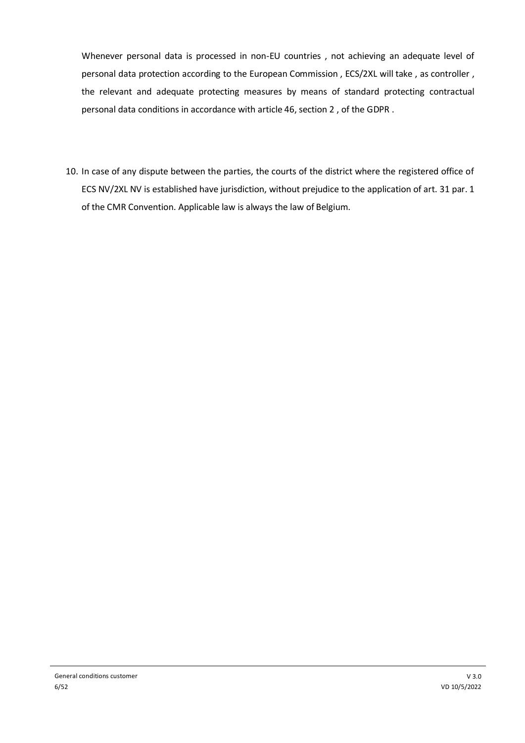Whenever personal data is processed in non-EU countries , not achieving an adequate level of personal data protection according to the European Commission , ECS/2XL will take , as controller , the relevant and adequate protecting measures by means of standard protecting contractual personal data conditions in accordance with article 46, section 2 , of the GDPR .

10. In case of any dispute between the parties, the courts of the district where the registered office of ECS NV/2XL NV is established have jurisdiction, without prejudice to the application of art. 31 par. 1 of the CMR Convention. Applicable law is always the law of Belgium.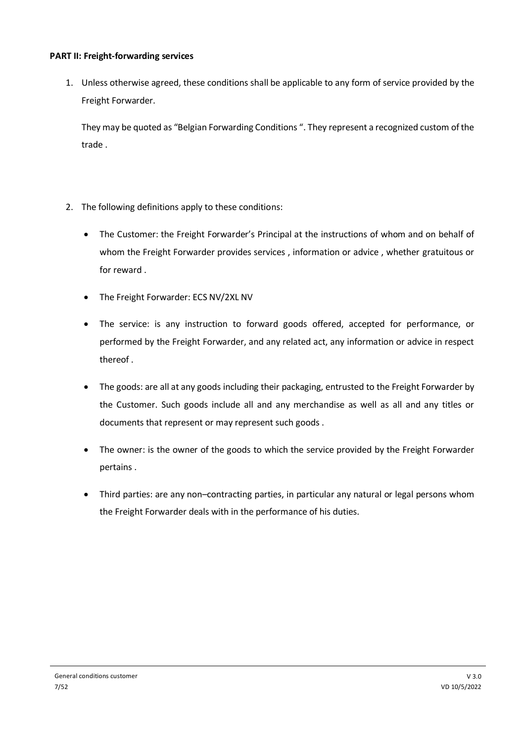#### **PART II: Freight-forwarding services**

1. Unless otherwise agreed, these conditions shall be applicable to any form of service provided by the Freight Forwarder.

They may be quoted as "Belgian Forwarding Conditions ". They represent a recognized custom of the trade .

- 2. The following definitions apply to these conditions:
	- The Customer: the Freight Forwarder's Principal at the instructions of whom and on behalf of whom the Freight Forwarder provides services , information or advice , whether gratuitous or for reward .
	- The Freight Forwarder: ECS NV/2XL NV
	- The service: is any instruction to forward goods offered, accepted for performance, or performed by the Freight Forwarder, and any related act, any information or advice in respect thereof .
	- The goods: are all at any goods including their packaging, entrusted to the Freight Forwarder by the Customer. Such goods include all and any merchandise as well as all and any titles or documents that represent or may represent such goods .
	- The owner: is the owner of the goods to which the service provided by the Freight Forwarder pertains .
	- Third parties: are any non–contracting parties, in particular any natural or legal persons whom the Freight Forwarder deals with in the performance of his duties.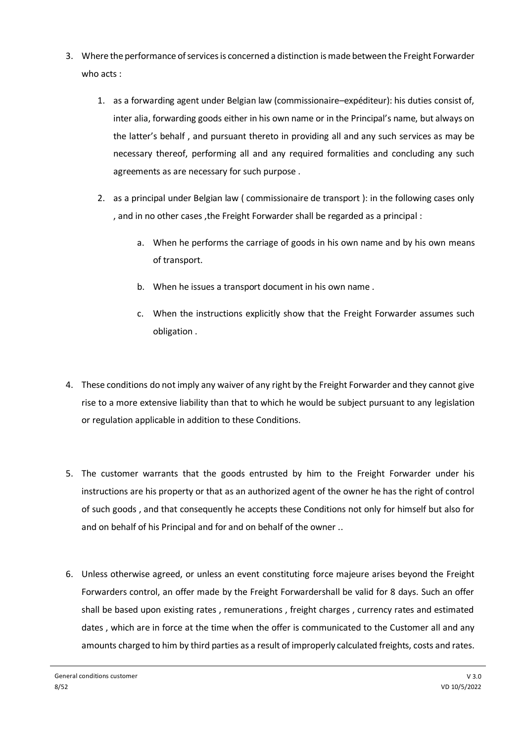- 3. Where the performance of services is concerned a distinction is made between the Freight Forwarder who acts :
	- 1. as a forwarding agent under Belgian law (commissionaire–expéditeur): his duties consist of, inter alia, forwarding goods either in his own name or in the Principal's name, but always on the latter's behalf , and pursuant thereto in providing all and any such services as may be necessary thereof, performing all and any required formalities and concluding any such agreements as are necessary for such purpose .
	- 2. as a principal under Belgian law ( commissionaire de transport ): in the following cases only , and in no other cases ,the Freight Forwarder shall be regarded as a principal :
		- a. When he performs the carriage of goods in his own name and by his own means of transport.
		- b. When he issues a transport document in his own name .
		- c. When the instructions explicitly show that the Freight Forwarder assumes such obligation .
- 4. These conditions do not imply any waiver of any right by the Freight Forwarder and they cannot give rise to a more extensive liability than that to which he would be subject pursuant to any legislation or regulation applicable in addition to these Conditions.
- 5. The customer warrants that the goods entrusted by him to the Freight Forwarder under his instructions are his property or that as an authorized agent of the owner he has the right of control of such goods , and that consequently he accepts these Conditions not only for himself but also for and on behalf of his Principal and for and on behalf of the owner ..
- 6. Unless otherwise agreed, or unless an event constituting force majeure arises beyond the Freight Forwarders control, an offer made by the Freight Forwardershall be valid for 8 days. Such an offer shall be based upon existing rates , remunerations , freight charges , currency rates and estimated dates , which are in force at the time when the offer is communicated to the Customer all and any amounts charged to him by third parties as a result of improperly calculated freights, costs and rates.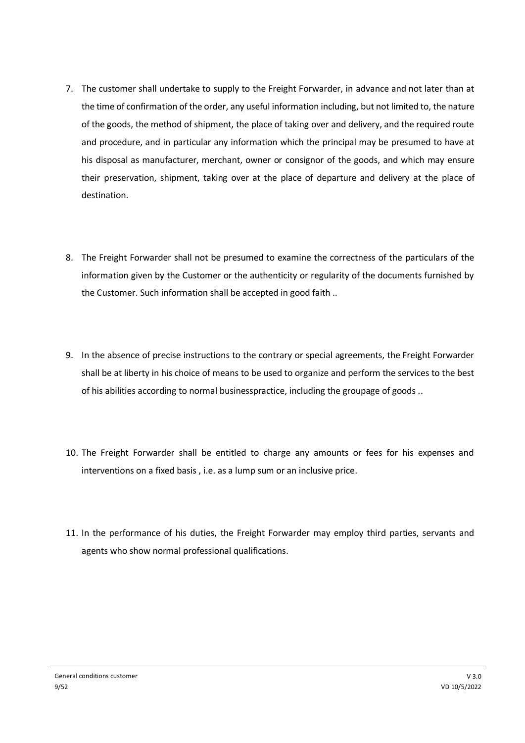- 7. The customer shall undertake to supply to the Freight Forwarder, in advance and not later than at the time of confirmation of the order, any useful information including, but not limited to, the nature of the goods, the method of shipment, the place of taking over and delivery, and the required route and procedure, and in particular any information which the principal may be presumed to have at his disposal as manufacturer, merchant, owner or consignor of the goods, and which may ensure their preservation, shipment, taking over at the place of departure and delivery at the place of destination.
- 8. The Freight Forwarder shall not be presumed to examine the correctness of the particulars of the information given by the Customer or the authenticity or regularity of the documents furnished by the Customer. Such information shall be accepted in good faith ..
- 9. In the absence of precise instructions to the contrary or special agreements, the Freight Forwarder shall be at liberty in his choice of means to be used to organize and perform the services to the best of his abilities according to normal businesspractice, including the groupage of goods ..
- 10. The Freight Forwarder shall be entitled to charge any amounts or fees for his expenses and interventions on a fixed basis , i.e. as a lump sum or an inclusive price.
- 11. In the performance of his duties, the Freight Forwarder may employ third parties, servants and agents who show normal professional qualifications.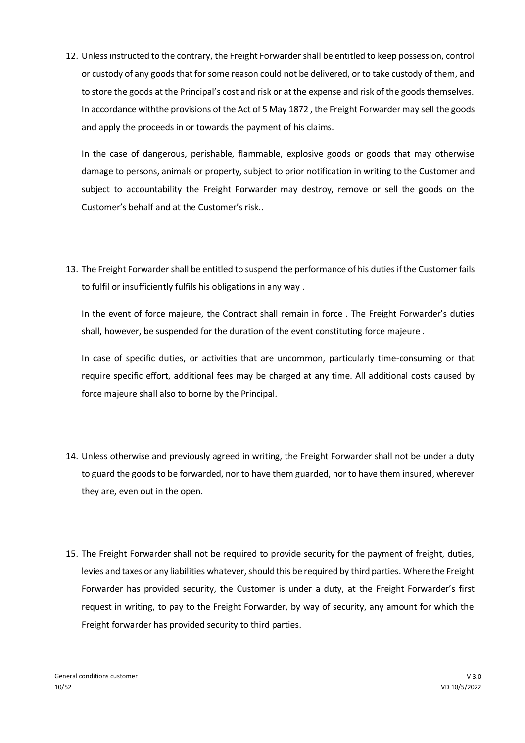12. Unless instructed to the contrary, the Freight Forwarder shall be entitled to keep possession, control or custody of any goods that for some reason could not be delivered, or to take custody of them, and to store the goods at the Principal's cost and risk or at the expense and risk of the goods themselves. In accordance withthe provisions of the Act of 5 May 1872 , the Freight Forwarder may sell the goods and apply the proceeds in or towards the payment of his claims.

In the case of dangerous, perishable, flammable, explosive goods or goods that may otherwise damage to persons, animals or property, subject to prior notification in writing to the Customer and subject to accountability the Freight Forwarder may destroy, remove or sell the goods on the Customer's behalf and at the Customer's risk..

13. The Freight Forwarder shall be entitled to suspend the performance of his duties if the Customer fails to fulfil or insufficiently fulfils his obligations in any way .

In the event of force majeure, the Contract shall remain in force . The Freight Forwarder's duties shall, however, be suspended for the duration of the event constituting force majeure .

In case of specific duties, or activities that are uncommon, particularly time-consuming or that require specific effort, additional fees may be charged at any time. All additional costs caused by force majeure shall also to borne by the Principal.

- 14. Unless otherwise and previously agreed in writing, the Freight Forwarder shall not be under a duty to guard the goods to be forwarded, nor to have them guarded, nor to have them insured, wherever they are, even out in the open.
- 15. The Freight Forwarder shall not be required to provide security for the payment of freight, duties, levies and taxes or any liabilities whatever, should this be required by third parties. Where the Freight Forwarder has provided security, the Customer is under a duty, at the Freight Forwarder's first request in writing, to pay to the Freight Forwarder, by way of security, any amount for which the Freight forwarder has provided security to third parties.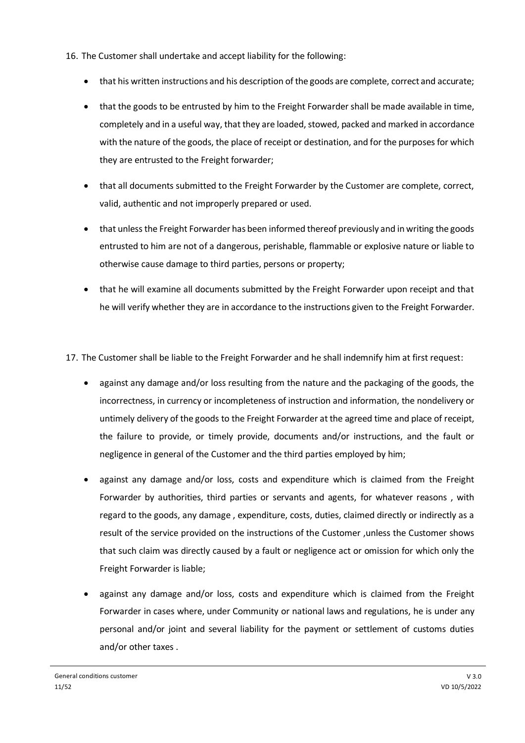- 16. The Customer shall undertake and accept liability for the following:
	- that his written instructions and his description of the goods are complete, correct and accurate;
	- that the goods to be entrusted by him to the Freight Forwarder shall be made available in time, completely and in a useful way, that they are loaded, stowed, packed and marked in accordance with the nature of the goods, the place of receipt or destination, and for the purposes for which they are entrusted to the Freight forwarder;
	- that all documents submitted to the Freight Forwarder by the Customer are complete, correct, valid, authentic and not improperly prepared or used.
	- that unless the Freight Forwarder has been informed thereof previously and in writing the goods entrusted to him are not of a dangerous, perishable, flammable or explosive nature or liable to otherwise cause damage to third parties, persons or property;
	- that he will examine all documents submitted by the Freight Forwarder upon receipt and that he will verify whether they are in accordance to the instructions given to the Freight Forwarder.
- 17. The Customer shall be liable to the Freight Forwarder and he shall indemnify him at first request:
	- against any damage and/or loss resulting from the nature and the packaging of the goods, the incorrectness, in currency or incompleteness of instruction and information, the nondelivery or untimely delivery of the goods to the Freight Forwarder at the agreed time and place of receipt, the failure to provide, or timely provide, documents and/or instructions, and the fault or negligence in general of the Customer and the third parties employed by him;
	- against any damage and/or loss, costs and expenditure which is claimed from the Freight Forwarder by authorities, third parties or servants and agents, for whatever reasons , with regard to the goods, any damage , expenditure, costs, duties, claimed directly or indirectly as a result of the service provided on the instructions of the Customer ,unless the Customer shows that such claim was directly caused by a fault or negligence act or omission for which only the Freight Forwarder is liable;
	- against any damage and/or loss, costs and expenditure which is claimed from the Freight Forwarder in cases where, under Community or national laws and regulations, he is under any personal and/or joint and several liability for the payment or settlement of customs duties and/or other taxes .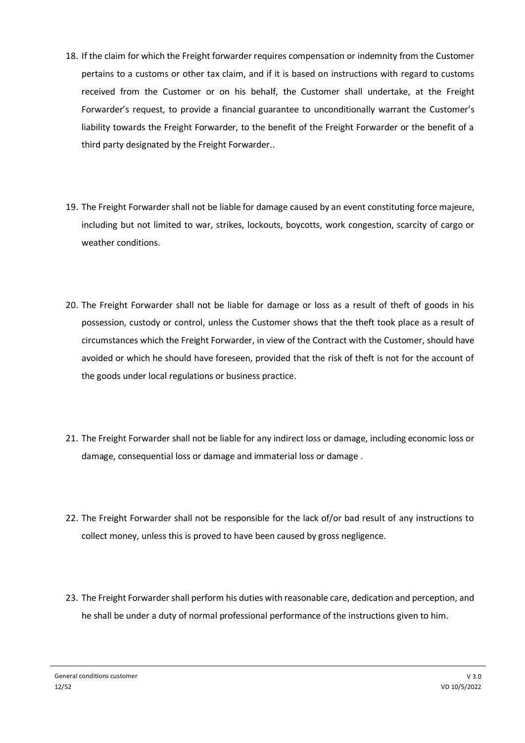- 18. If the claim for which the Freight forwarder requires compensation or indemnity from the Customer pertains to a customs or other tax claim, and if it is based on instructions with regard to customs received from the Customer or on his behalf, the Customer shall undertake, at the Freight Forwarder's request, to provide a financial guarantee to unconditionally warrant the Customer's liability towards the Freight Forwarder, to the benefit of the Freight Forwarder or the benefit of a third party designated by the Freight Forwarder..
- 19. The Freight Forwarder shall not be liable for damage caused by an event constituting force majeure, including but not limited to war, strikes, lockouts, boycotts, work congestion, scarcity of cargo or weather conditions.
- 20. The Freight Forwarder shall not be liable for damage or loss as a result of theft of goods in his possession, custody or control, unless the Customer shows that the theft took place as a result of circumstances which the Freight Forwarder, in view of the Contract with the Customer, should have avoided or which he should have foreseen, provided that the risk of theft is not for the account of the goods under local regulations or business practice.
- 21. The Freight Forwarder shall not be liable for any indirect loss or damage, including economic loss or damage, consequential loss or damage and immaterial loss or damage .
- 22. The Freight Forwarder shall not be responsible for the lack of/or bad result of any instructions to collect money, unless this is proved to have been caused by gross negligence.
- 23. The Freight Forwarder shall perform his duties with reasonable care, dedication and perception, and he shall be under a duty of normal professional performance of the instructions given to him.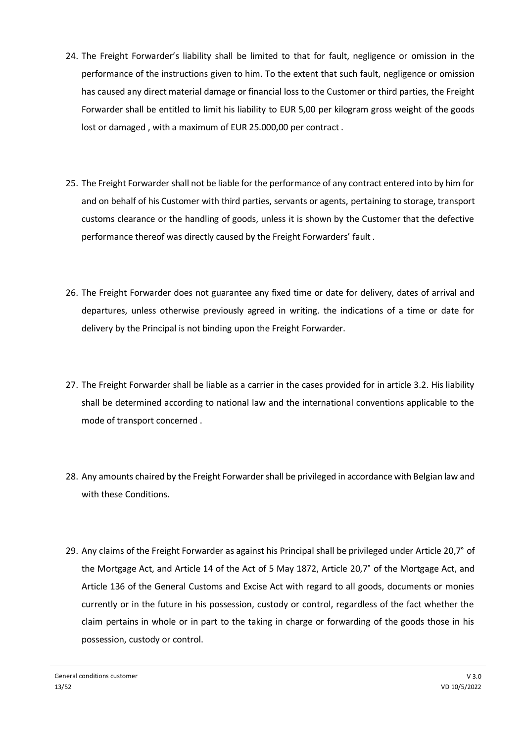- 24. The Freight Forwarder's liability shall be limited to that for fault, negligence or omission in the performance of the instructions given to him. To the extent that such fault, negligence or omission has caused any direct material damage or financial loss to the Customer or third parties, the Freight Forwarder shall be entitled to limit his liability to EUR 5,00 per kilogram gross weight of the goods lost or damaged , with a maximum of EUR 25.000,00 per contract .
- 25. The Freight Forwarder shall not be liable for the performance of any contract entered into by him for and on behalf of his Customer with third parties, servants or agents, pertaining to storage, transport customs clearance or the handling of goods, unless it is shown by the Customer that the defective performance thereof was directly caused by the Freight Forwarders' fault .
- 26. The Freight Forwarder does not guarantee any fixed time or date for delivery, dates of arrival and departures, unless otherwise previously agreed in writing. the indications of a time or date for delivery by the Principal is not binding upon the Freight Forwarder.
- 27. The Freight Forwarder shall be liable as a carrier in the cases provided for in article 3.2. His liability shall be determined according to national law and the international conventions applicable to the mode of transport concerned .
- 28. Any amounts chaired by the Freight Forwarder shall be privileged in accordance with Belgian law and with these Conditions.
- 29. Any claims of the Freight Forwarder as against his Principal shall be privileged under Article 20,7° of the Mortgage Act, and Article 14 of the Act of 5 May 1872, Article 20,7° of the Mortgage Act, and Article 136 of the General Customs and Excise Act with regard to all goods, documents or monies currently or in the future in his possession, custody or control, regardless of the fact whether the claim pertains in whole or in part to the taking in charge or forwarding of the goods those in his possession, custody or control.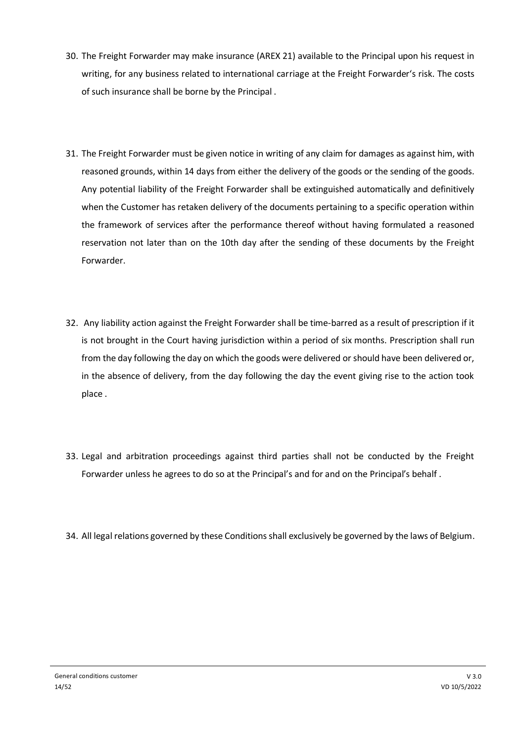- 30. The Freight Forwarder may make insurance (AREX 21) available to the Principal upon his request in writing, for any business related to international carriage at the Freight Forwarder's risk. The costs of such insurance shall be borne by the Principal .
- 31. The Freight Forwarder must be given notice in writing of any claim for damages as against him, with reasoned grounds, within 14 days from either the delivery of the goods or the sending of the goods. Any potential liability of the Freight Forwarder shall be extinguished automatically and definitively when the Customer has retaken delivery of the documents pertaining to a specific operation within the framework of services after the performance thereof without having formulated a reasoned reservation not later than on the 10th day after the sending of these documents by the Freight Forwarder.
- 32. Any liability action against the Freight Forwarder shall be time-barred as a result of prescription if it is not brought in the Court having jurisdiction within a period of six months. Prescription shall run from the day following the day on which the goods were delivered or should have been delivered or, in the absence of delivery, from the day following the day the event giving rise to the action took place .
- 33. Legal and arbitration proceedings against third parties shall not be conducted by the Freight Forwarder unless he agrees to do so at the Principal's and for and on the Principal's behalf .
- 34. All legal relations governed by these Conditions shall exclusively be governed by the laws of Belgium.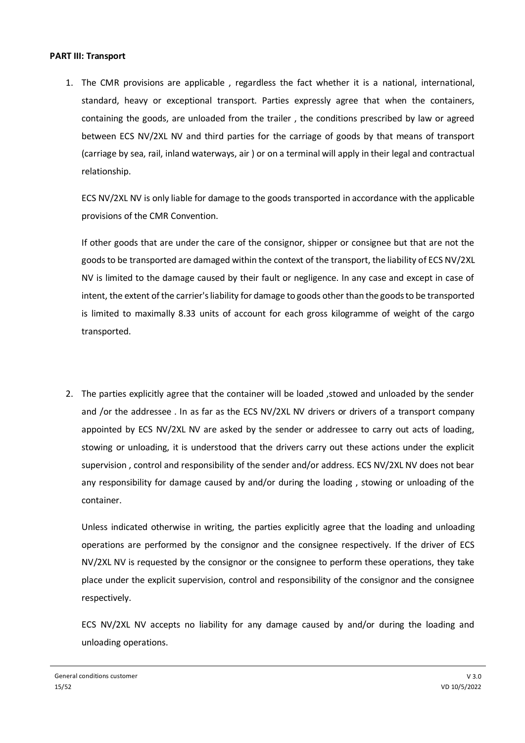#### **PART III: Transport**

1. The CMR provisions are applicable , regardless the fact whether it is a national, international, standard, heavy or exceptional transport. Parties expressly agree that when the containers, containing the goods, are unloaded from the trailer , the conditions prescribed by law or agreed between ECS NV/2XL NV and third parties for the carriage of goods by that means of transport (carriage by sea, rail, inland waterways, air ) or on a terminal will apply in their legal and contractual relationship.

ECS NV/2XL NV is only liable for damage to the goods transported in accordance with the applicable provisions of the CMR Convention.

If other goods that are under the care of the consignor, shipper or consignee but that are not the goods to be transported are damaged within the context of the transport, the liability of ECS NV/2XL NV is limited to the damage caused by their fault or negligence. In any case and except in case of intent, the extent of the carrier's liability for damage to goods other than the goods to be transported is limited to maximally 8.33 units of account for each gross kilogramme of weight of the cargo transported.

2. The parties explicitly agree that the container will be loaded ,stowed and unloaded by the sender and /or the addressee . In as far as the ECS NV/2XL NV drivers or drivers of a transport company appointed by ECS NV/2XL NV are asked by the sender or addressee to carry out acts of loading, stowing or unloading, it is understood that the drivers carry out these actions under the explicit supervision , control and responsibility of the sender and/or address. ECS NV/2XL NV does not bear any responsibility for damage caused by and/or during the loading , stowing or unloading of the container.

Unless indicated otherwise in writing, the parties explicitly agree that the loading and unloading operations are performed by the consignor and the consignee respectively. If the driver of ECS NV/2XL NV is requested by the consignor or the consignee to perform these operations, they take place under the explicit supervision, control and responsibility of the consignor and the consignee respectively.

ECS NV/2XL NV accepts no liability for any damage caused by and/or during the loading and unloading operations.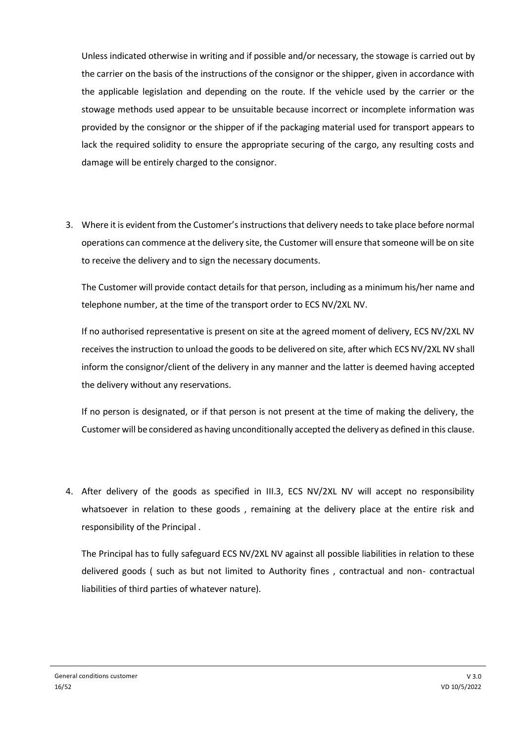Unless indicated otherwise in writing and if possible and/or necessary, the stowage is carried out by the carrier on the basis of the instructions of the consignor or the shipper, given in accordance with the applicable legislation and depending on the route. If the vehicle used by the carrier or the stowage methods used appear to be unsuitable because incorrect or incomplete information was provided by the consignor or the shipper of if the packaging material used for transport appears to lack the required solidity to ensure the appropriate securing of the cargo, any resulting costs and damage will be entirely charged to the consignor.

3. Where it is evident from the Customer's instructions that delivery needs to take place before normal operations can commence at the delivery site, the Customer will ensure that someone will be on site to receive the delivery and to sign the necessary documents.

The Customer will provide contact details for that person, including as a minimum his/her name and telephone number, at the time of the transport order to ECS NV/2XL NV.

If no authorised representative is present on site at the agreed moment of delivery, ECS NV/2XL NV receives the instruction to unload the goods to be delivered on site, after which ECS NV/2XL NV shall inform the consignor/client of the delivery in any manner and the latter is deemed having accepted the delivery without any reservations.

If no person is designated, or if that person is not present at the time of making the delivery, the Customer will be considered as having unconditionally accepted the delivery as defined in this clause.

4. After delivery of the goods as specified in III.3, ECS NV/2XL NV will accept no responsibility whatsoever in relation to these goods , remaining at the delivery place at the entire risk and responsibility of the Principal .

The Principal has to fully safeguard ECS NV/2XL NV against all possible liabilities in relation to these delivered goods ( such as but not limited to Authority fines , contractual and non- contractual liabilities of third parties of whatever nature).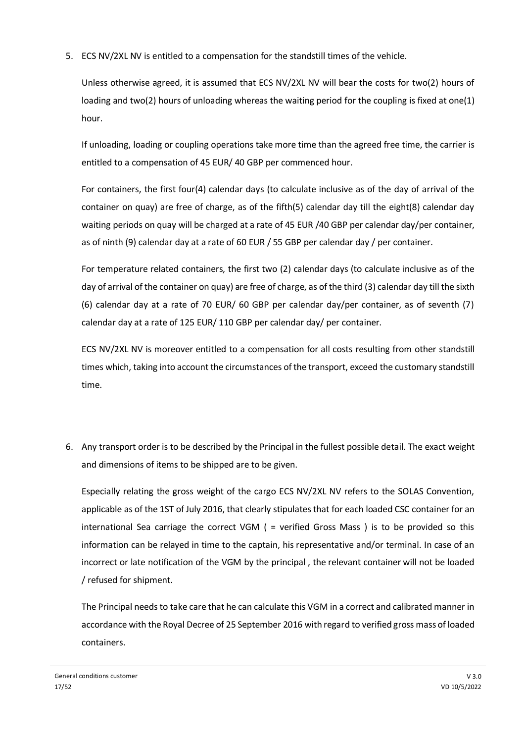5. ECS NV/2XL NV is entitled to a compensation for the standstill times of the vehicle.

Unless otherwise agreed, it is assumed that ECS NV/2XL NV will bear the costs for two(2) hours of loading and two(2) hours of unloading whereas the waiting period for the coupling is fixed at one(1) hour.

If unloading, loading or coupling operations take more time than the agreed free time, the carrier is entitled to a compensation of 45 EUR/ 40 GBP per commenced hour.

For containers, the first four(4) calendar days (to calculate inclusive as of the day of arrival of the container on quay) are free of charge, as of the fifth(5) calendar day till the eight(8) calendar day waiting periods on quay will be charged at a rate of 45 EUR /40 GBP per calendar day/per container, as of ninth (9) calendar day at a rate of 60 EUR / 55 GBP per calendar day / per container.

For temperature related containers, the first two (2) calendar days (to calculate inclusive as of the day of arrival of the container on quay) are free of charge, as of the third (3) calendar day till the sixth (6) calendar day at a rate of 70 EUR/ 60 GBP per calendar day/per container, as of seventh (7) calendar day at a rate of 125 EUR/ 110 GBP per calendar day/ per container.

ECS NV/2XL NV is moreover entitled to a compensation for all costs resulting from other standstill times which, taking into account the circumstances of the transport, exceed the customary standstill time.

6. Any transport order is to be described by the Principal in the fullest possible detail. The exact weight and dimensions of items to be shipped are to be given.

Especially relating the gross weight of the cargo ECS NV/2XL NV refers to the SOLAS Convention, applicable as of the 1ST of July 2016, that clearly stipulates that for each loaded CSC container for an international Sea carriage the correct VGM ( = verified Gross Mass ) is to be provided so this information can be relayed in time to the captain, his representative and/or terminal. In case of an incorrect or late notification of the VGM by the principal , the relevant container will not be loaded / refused for shipment.

The Principal needs to take care that he can calculate this VGM in a correct and calibrated manner in accordance with the Royal Decree of 25 September 2016 with regard to verified gross mass of loaded containers.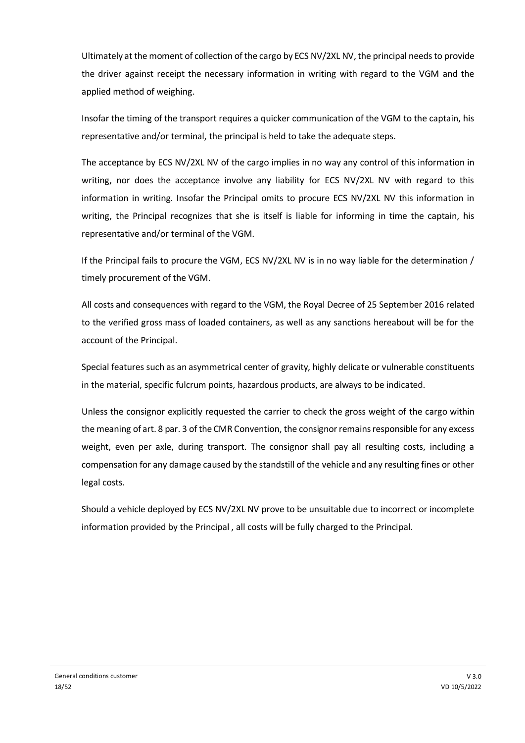Ultimately at the moment of collection of the cargo by ECS NV/2XL NV, the principal needs to provide the driver against receipt the necessary information in writing with regard to the VGM and the applied method of weighing.

Insofar the timing of the transport requires a quicker communication of the VGM to the captain, his representative and/or terminal, the principal is held to take the adequate steps.

The acceptance by ECS NV/2XL NV of the cargo implies in no way any control of this information in writing, nor does the acceptance involve any liability for ECS NV/2XL NV with regard to this information in writing. Insofar the Principal omits to procure ECS NV/2XL NV this information in writing, the Principal recognizes that she is itself is liable for informing in time the captain, his representative and/or terminal of the VGM.

If the Principal fails to procure the VGM, ECS NV/2XL NV is in no way liable for the determination / timely procurement of the VGM.

All costs and consequences with regard to the VGM, the Royal Decree of 25 September 2016 related to the verified gross mass of loaded containers, as well as any sanctions hereabout will be for the account of the Principal.

Special features such as an asymmetrical center of gravity, highly delicate or vulnerable constituents in the material, specific fulcrum points, hazardous products, are always to be indicated.

Unless the consignor explicitly requested the carrier to check the gross weight of the cargo within the meaning of art. 8 par. 3 of the CMR Convention, the consignor remains responsible for any excess weight, even per axle, during transport. The consignor shall pay all resulting costs, including a compensation for any damage caused by the standstill of the vehicle and any resulting fines or other legal costs.

Should a vehicle deployed by ECS NV/2XL NV prove to be unsuitable due to incorrect or incomplete information provided by the Principal , all costs will be fully charged to the Principal.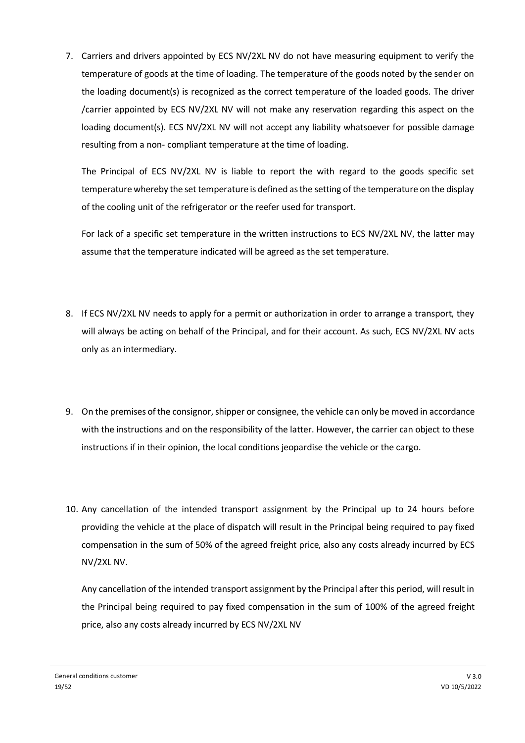7. Carriers and drivers appointed by ECS NV/2XL NV do not have measuring equipment to verify the temperature of goods at the time of loading. The temperature of the goods noted by the sender on the loading document(s) is recognized as the correct temperature of the loaded goods. The driver /carrier appointed by ECS NV/2XL NV will not make any reservation regarding this aspect on the loading document(s). ECS NV/2XL NV will not accept any liability whatsoever for possible damage resulting from a non- compliant temperature at the time of loading.

The Principal of ECS NV/2XL NV is liable to report the with regard to the goods specific set temperature whereby the set temperature is defined as the setting of the temperature on the display of the cooling unit of the refrigerator or the reefer used for transport.

For lack of a specific set temperature in the written instructions to ECS NV/2XL NV, the latter may assume that the temperature indicated will be agreed as the set temperature.

- 8. If ECS NV/2XL NV needs to apply for a permit or authorization in order to arrange a transport, they will always be acting on behalf of the Principal, and for their account. As such, ECS NV/2XL NV acts only as an intermediary.
- 9. On the premises of the consignor, shipper or consignee, the vehicle can only be moved in accordance with the instructions and on the responsibility of the latter. However, the carrier can object to these instructions if in their opinion, the local conditions jeopardise the vehicle or the cargo.
- 10. Any cancellation of the intended transport assignment by the Principal up to 24 hours before providing the vehicle at the place of dispatch will result in the Principal being required to pay fixed compensation in the sum of 50% of the agreed freight price, also any costs already incurred by ECS NV/2XL NV.

Any cancellation of the intended transport assignment by the Principal after this period, will result in the Principal being required to pay fixed compensation in the sum of 100% of the agreed freight price, also any costs already incurred by ECS NV/2XL NV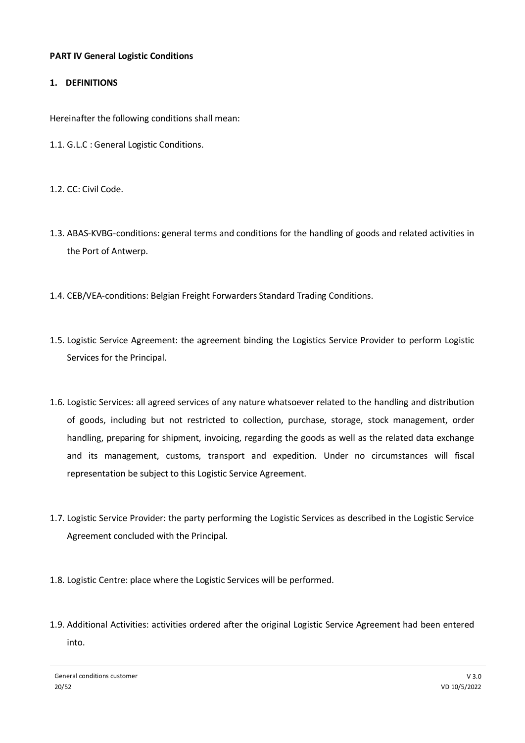# **PART IV General Logistic Conditions**

# **1. DEFINITIONS**

Hereinafter the following conditions shall mean:

- 1.1. G.L.C : General Logistic Conditions.
- 1.2. CC: Civil Code.
- 1.3. ABAS-KVBG-conditions: general terms and conditions for the handling of goods and related activities in the Port of Antwerp.
- 1.4. CEB/VEA-conditions: Belgian Freight Forwarders Standard Trading Conditions.
- 1.5. Logistic Service Agreement: the agreement binding the Logistics Service Provider to perform Logistic Services for the Principal.
- 1.6. Logistic Services: all agreed services of any nature whatsoever related to the handling and distribution of goods, including but not restricted to collection, purchase, storage, stock management, order handling, preparing for shipment, invoicing, regarding the goods as well as the related data exchange and its management, customs, transport and expedition. Under no circumstances will fiscal representation be subject to this Logistic Service Agreement.
- 1.7. Logistic Service Provider: the party performing the Logistic Services as described in the Logistic Service Agreement concluded with the Principal.
- 1.8. Logistic Centre: place where the Logistic Services will be performed.
- 1.9. Additional Activities: activities ordered after the original Logistic Service Agreement had been entered into.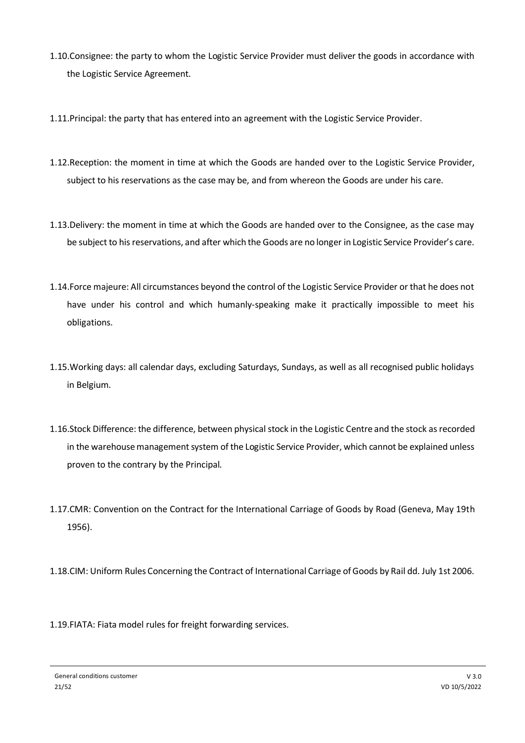- 1.10.Consignee: the party to whom the Logistic Service Provider must deliver the goods in accordance with the Logistic Service Agreement.
- 1.11.Principal: the party that has entered into an agreement with the Logistic Service Provider.
- 1.12.Reception: the moment in time at which the Goods are handed over to the Logistic Service Provider, subject to his reservations as the case may be, and from whereon the Goods are under his care.
- 1.13.Delivery: the moment in time at which the Goods are handed over to the Consignee, as the case may be subject to his reservations, and after which the Goods are no longer in Logistic Service Provider's care.
- 1.14.Force majeure: All circumstances beyond the control of the Logistic Service Provider or that he does not have under his control and which humanly-speaking make it practically impossible to meet his obligations.
- 1.15.Working days: all calendar days, excluding Saturdays, Sundays, as well as all recognised public holidays in Belgium.
- 1.16.Stock Difference: the difference, between physical stock in the Logistic Centre and the stock as recorded in the warehouse management system of the Logistic Service Provider, which cannot be explained unless proven to the contrary by the Principal.
- 1.17.CMR: Convention on the Contract for the International Carriage of Goods by Road (Geneva, May 19th 1956).
- 1.18.CIM: Uniform Rules Concerning the Contract of International Carriage of Goods by Rail dd. July 1st 2006.
- 1.19.FIATA: Fiata model rules for freight forwarding services.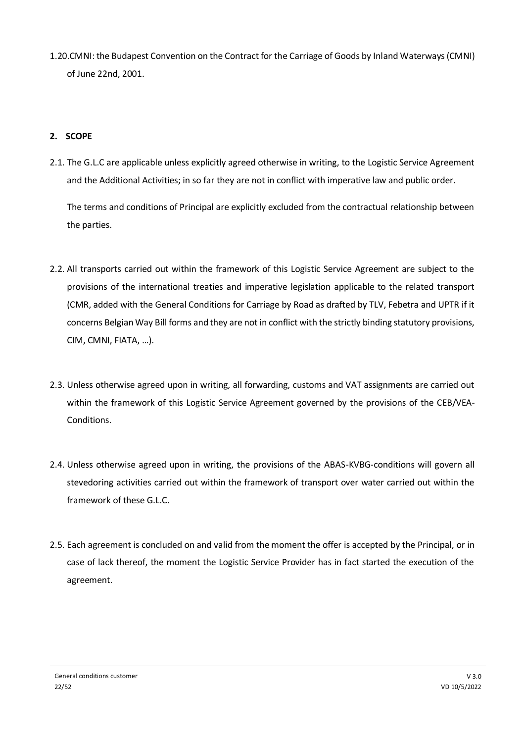1.20.CMNI: the Budapest Convention on the Contract for the Carriage of Goods by Inland Waterways (CMNI) of June 22nd, 2001.

# **2. SCOPE**

2.1. The G.L.C are applicable unless explicitly agreed otherwise in writing, to the Logistic Service Agreement and the Additional Activities; in so far they are not in conflict with imperative law and public order.

The terms and conditions of Principal are explicitly excluded from the contractual relationship between the parties.

- 2.2. All transports carried out within the framework of this Logistic Service Agreement are subject to the provisions of the international treaties and imperative legislation applicable to the related transport (CMR, added with the General Conditions for Carriage by Road as drafted by TLV, Febetra and UPTR if it concerns Belgian Way Bill forms and they are not in conflict with the strictly binding statutory provisions, CIM, CMNI, FIATA, …).
- 2.3. Unless otherwise agreed upon in writing, all forwarding, customs and VAT assignments are carried out within the framework of this Logistic Service Agreement governed by the provisions of the CEB/VEA-Conditions.
- 2.4. Unless otherwise agreed upon in writing, the provisions of the ABAS-KVBG-conditions will govern all stevedoring activities carried out within the framework of transport over water carried out within the framework of these G.L.C.
- 2.5. Each agreement is concluded on and valid from the moment the offer is accepted by the Principal, or in case of lack thereof, the moment the Logistic Service Provider has in fact started the execution of the agreement.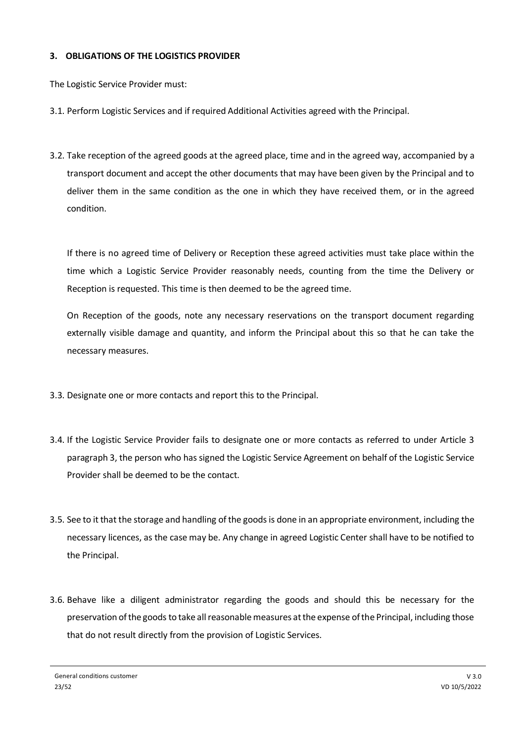# **3. OBLIGATIONS OF THE LOGISTICS PROVIDER**

The Logistic Service Provider must:

- 3.1. Perform Logistic Services and if required Additional Activities agreed with the Principal.
- 3.2. Take reception of the agreed goods at the agreed place, time and in the agreed way, accompanied by a transport document and accept the other documents that may have been given by the Principal and to deliver them in the same condition as the one in which they have received them, or in the agreed condition.

If there is no agreed time of Delivery or Reception these agreed activities must take place within the time which a Logistic Service Provider reasonably needs, counting from the time the Delivery or Reception is requested. This time is then deemed to be the agreed time.

On Reception of the goods, note any necessary reservations on the transport document regarding externally visible damage and quantity, and inform the Principal about this so that he can take the necessary measures.

- 3.3. Designate one or more contacts and report this to the Principal.
- 3.4. If the Logistic Service Provider fails to designate one or more contacts as referred to under Article 3 paragraph 3, the person who has signed the Logistic Service Agreement on behalf of the Logistic Service Provider shall be deemed to be the contact.
- 3.5. See to it that the storage and handling of the goods is done in an appropriate environment, including the necessary licences, as the case may be. Any change in agreed Logistic Center shall have to be notified to the Principal.
- 3.6. Behave like a diligent administrator regarding the goods and should this be necessary for the preservation of the goods to take all reasonable measures at the expense of the Principal, including those that do not result directly from the provision of Logistic Services.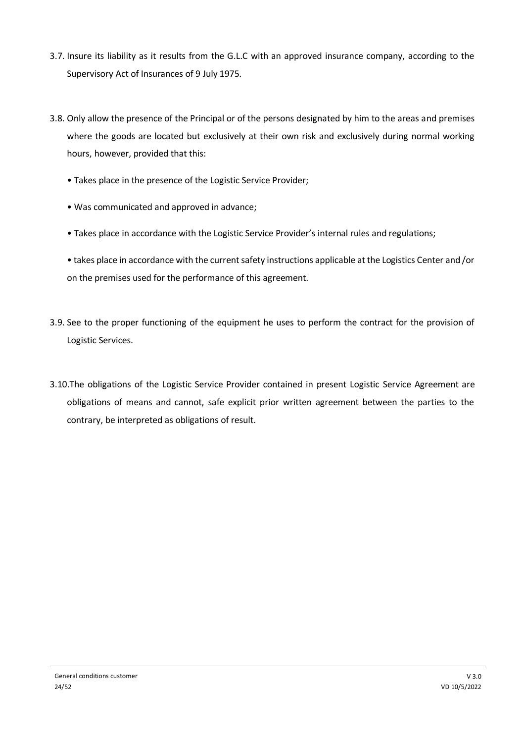- 3.7. Insure its liability as it results from the G.L.C with an approved insurance company, according to the Supervisory Act of Insurances of 9 July 1975.
- 3.8. Only allow the presence of the Principal or of the persons designated by him to the areas and premises where the goods are located but exclusively at their own risk and exclusively during normal working hours, however, provided that this:
	- Takes place in the presence of the Logistic Service Provider;
	- Was communicated and approved in advance;
	- Takes place in accordance with the Logistic Service Provider's internal rules and regulations;
	- takes place in accordance with the current safety instructions applicable at the Logistics Center and /or on the premises used for the performance of this agreement.
- 3.9. See to the proper functioning of the equipment he uses to perform the contract for the provision of Logistic Services.
- 3.10.The obligations of the Logistic Service Provider contained in present Logistic Service Agreement are obligations of means and cannot, safe explicit prior written agreement between the parties to the contrary, be interpreted as obligations of result.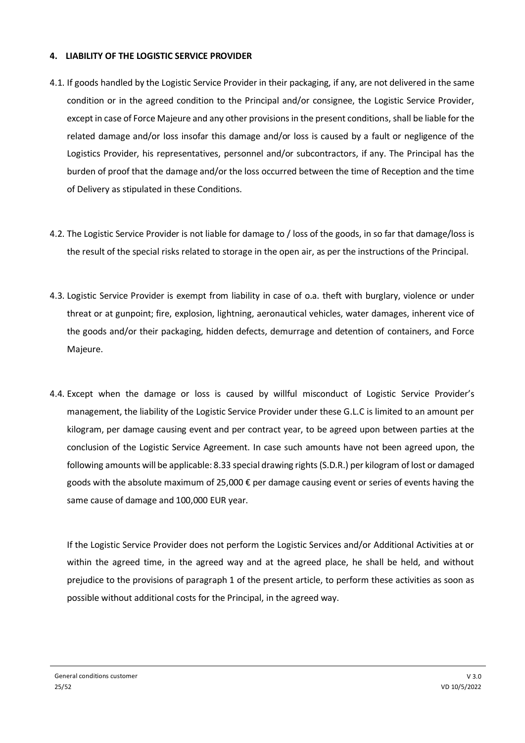# **4. LIABILITY OF THE LOGISTIC SERVICE PROVIDER**

- 4.1. If goods handled by the Logistic Service Provider in their packaging, if any, are not delivered in the same condition or in the agreed condition to the Principal and/or consignee, the Logistic Service Provider, except in case of Force Majeure and any other provisions in the present conditions, shall be liable for the related damage and/or loss insofar this damage and/or loss is caused by a fault or negligence of the Logistics Provider, his representatives, personnel and/or subcontractors, if any. The Principal has the burden of proof that the damage and/or the loss occurred between the time of Reception and the time of Delivery as stipulated in these Conditions.
- 4.2. The Logistic Service Provider is not liable for damage to / loss of the goods, in so far that damage/loss is the result of the special risks related to storage in the open air, as per the instructions of the Principal.
- 4.3. Logistic Service Provider is exempt from liability in case of o.a. theft with burglary, violence or under threat or at gunpoint; fire, explosion, lightning, aeronautical vehicles, water damages, inherent vice of the goods and/or their packaging, hidden defects, demurrage and detention of containers, and Force Majeure.
- 4.4. Except when the damage or loss is caused by willful misconduct of Logistic Service Provider's management, the liability of the Logistic Service Provider under these G.L.C is limited to an amount per kilogram, per damage causing event and per contract year, to be agreed upon between parties at the conclusion of the Logistic Service Agreement. In case such amounts have not been agreed upon, the following amounts will be applicable: 8.33 special drawing rights (S.D.R.) per kilogram of lost or damaged goods with the absolute maximum of 25,000 € per damage causing event or series of events having the same cause of damage and 100,000 EUR year.

If the Logistic Service Provider does not perform the Logistic Services and/or Additional Activities at or within the agreed time, in the agreed way and at the agreed place, he shall be held, and without prejudice to the provisions of paragraph 1 of the present article, to perform these activities as soon as possible without additional costs for the Principal, in the agreed way.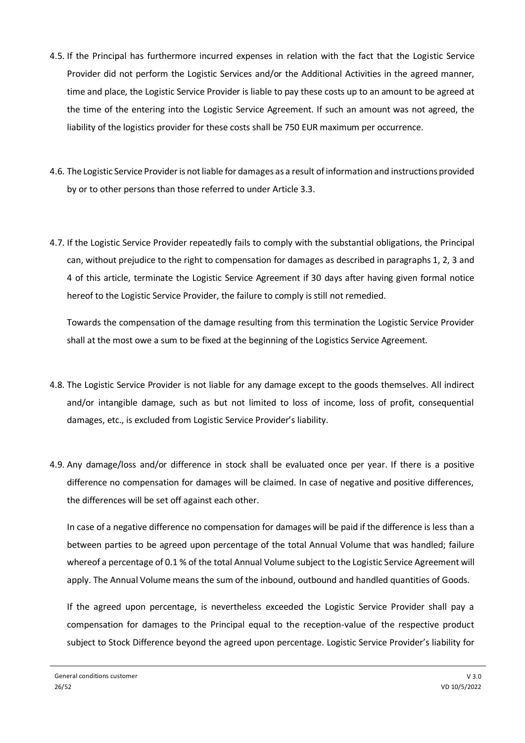- 4.5. If the Principal has furthermore incurred expenses in relation with the fact that the Logistic Service Provider did not perform the Logistic Services and/or the Additional Activities in the agreed manner, time and place, the Logistic Service Provider is liable to pay these costs up to an amount to be agreed at the time of the entering into the Logistic Service Agreement. If such an amount was not agreed, the liability of the logistics provider for these costs shall be 750 EUR maximum per occurrence.
- 4.6. The Logistic Service Provider is not liable for damages as a result of information and instructions provided by or to other persons than those referred to under Article 3.3.
- 4.7. If the Logistic Service Provider repeatedly fails to comply with the substantial obligations, the Principal can, without prejudice to the right to compensation for damages as described in paragraphs 1, 2, 3 and 4 of this article, terminate the Logistic Service Agreement if 30 days after having given formal notice hereof to the Logistic Service Provider, the failure to comply is still not remedied.

Towards the compensation of the damage resulting from this termination the Logistic Service Provider shall at the most owe a sum to be fixed at the beginning of the Logistics Service Agreement.

- 4.8. The Logistic Service Provider is not liable for any damage except to the goods themselves. All indirect and/or intangible damage, such as but not limited to loss of income, loss of profit, consequential damages, etc., is excluded from Logistic Service Provider's liability.
- 4.9. Any damage/loss and/or difference in stock shall be evaluated once per year. If there is a positive difference no compensation for damages will be claimed. In case of negative and positive differences, the differences will be set off against each other.

In case of a negative difference no compensation for damages will be paid if the difference is less than a between parties to be agreed upon percentage of the total Annual Volume that was handled; failure whereof a percentage of 0.1 % of the total Annual Volume subject to the Logistic Service Agreement will apply. The Annual Volume means the sum of the inbound, outbound and handled quantities of Goods.

If the agreed upon percentage, is nevertheless exceeded the Logistic Service Provider shall pay a compensation for damages to the Principal equal to the reception-value of the respective product subject to Stock Difference beyond the agreed upon percentage. Logistic Service Provider's liability for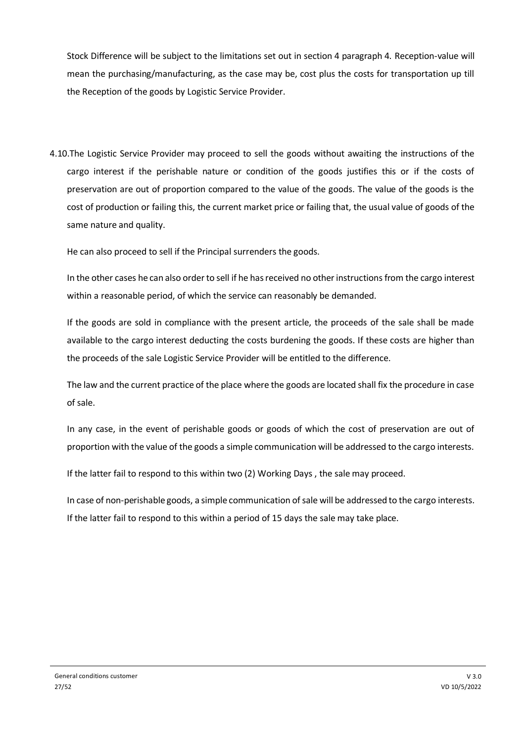Stock Difference will be subject to the limitations set out in section 4 paragraph 4. Reception-value will mean the purchasing/manufacturing, as the case may be, cost plus the costs for transportation up till the Reception of the goods by Logistic Service Provider.

4.10.The Logistic Service Provider may proceed to sell the goods without awaiting the instructions of the cargo interest if the perishable nature or condition of the goods justifies this or if the costs of preservation are out of proportion compared to the value of the goods. The value of the goods is the cost of production or failing this, the current market price or failing that, the usual value of goods of the same nature and quality.

He can also proceed to sell if the Principal surrenders the goods.

In the other cases he can also order to sell if he has received no other instructions from the cargo interest within a reasonable period, of which the service can reasonably be demanded.

If the goods are sold in compliance with the present article, the proceeds of the sale shall be made available to the cargo interest deducting the costs burdening the goods. If these costs are higher than the proceeds of the sale Logistic Service Provider will be entitled to the difference.

The law and the current practice of the place where the goods are located shall fix the procedure in case of sale.

In any case, in the event of perishable goods or goods of which the cost of preservation are out of proportion with the value of the goods a simple communication will be addressed to the cargo interests.

If the latter fail to respond to this within two (2) Working Days , the sale may proceed.

In case of non-perishable goods, a simple communication of sale will be addressed to the cargo interests. If the latter fail to respond to this within a period of 15 days the sale may take place.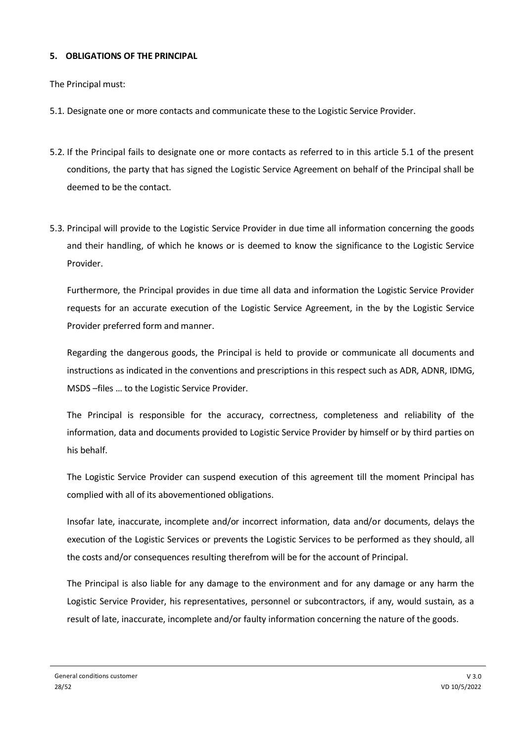# **5. OBLIGATIONS OF THE PRINCIPAL**

The Principal must:

- 5.1. Designate one or more contacts and communicate these to the Logistic Service Provider.
- 5.2. If the Principal fails to designate one or more contacts as referred to in this article 5.1 of the present conditions, the party that has signed the Logistic Service Agreement on behalf of the Principal shall be deemed to be the contact.
- 5.3. Principal will provide to the Logistic Service Provider in due time all information concerning the goods and their handling, of which he knows or is deemed to know the significance to the Logistic Service Provider.

Furthermore, the Principal provides in due time all data and information the Logistic Service Provider requests for an accurate execution of the Logistic Service Agreement, in the by the Logistic Service Provider preferred form and manner.

Regarding the dangerous goods, the Principal is held to provide or communicate all documents and instructions as indicated in the conventions and prescriptions in this respect such as ADR, ADNR, IDMG, MSDS –files … to the Logistic Service Provider.

The Principal is responsible for the accuracy, correctness, completeness and reliability of the information, data and documents provided to Logistic Service Provider by himself or by third parties on his behalf.

The Logistic Service Provider can suspend execution of this agreement till the moment Principal has complied with all of its abovementioned obligations.

Insofar late, inaccurate, incomplete and/or incorrect information, data and/or documents, delays the execution of the Logistic Services or prevents the Logistic Services to be performed as they should, all the costs and/or consequences resulting therefrom will be for the account of Principal.

The Principal is also liable for any damage to the environment and for any damage or any harm the Logistic Service Provider, his representatives, personnel or subcontractors, if any, would sustain, as a result of late, inaccurate, incomplete and/or faulty information concerning the nature of the goods.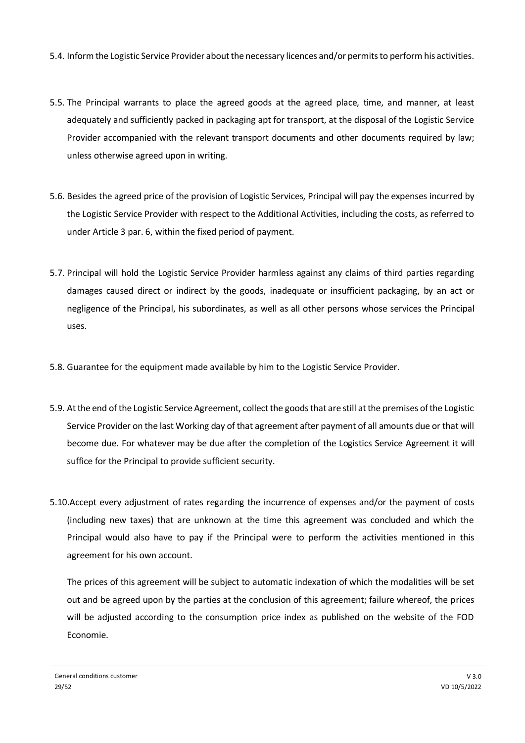- 5.4. Inform the Logistic Service Provider about the necessary licences and/or permits to perform his activities.
- 5.5. The Principal warrants to place the agreed goods at the agreed place, time, and manner, at least adequately and sufficiently packed in packaging apt for transport, at the disposal of the Logistic Service Provider accompanied with the relevant transport documents and other documents required by law; unless otherwise agreed upon in writing.
- 5.6. Besides the agreed price of the provision of Logistic Services, Principal will pay the expenses incurred by the Logistic Service Provider with respect to the Additional Activities, including the costs, as referred to under Article 3 par. 6, within the fixed period of payment.
- 5.7. Principal will hold the Logistic Service Provider harmless against any claims of third parties regarding damages caused direct or indirect by the goods, inadequate or insufficient packaging, by an act or negligence of the Principal, his subordinates, as well as all other persons whose services the Principal uses.
- 5.8. Guarantee for the equipment made available by him to the Logistic Service Provider.
- 5.9. At the end of the Logistic Service Agreement, collect the goods that are still at the premises of the Logistic Service Provider on the last Working day of that agreement after payment of all amounts due or that will become due. For whatever may be due after the completion of the Logistics Service Agreement it will suffice for the Principal to provide sufficient security.
- 5.10.Accept every adjustment of rates regarding the incurrence of expenses and/or the payment of costs (including new taxes) that are unknown at the time this agreement was concluded and which the Principal would also have to pay if the Principal were to perform the activities mentioned in this agreement for his own account.

The prices of this agreement will be subject to automatic indexation of which the modalities will be set out and be agreed upon by the parties at the conclusion of this agreement; failure whereof, the prices will be adjusted according to the consumption price index as published on the website of the FOD Economie.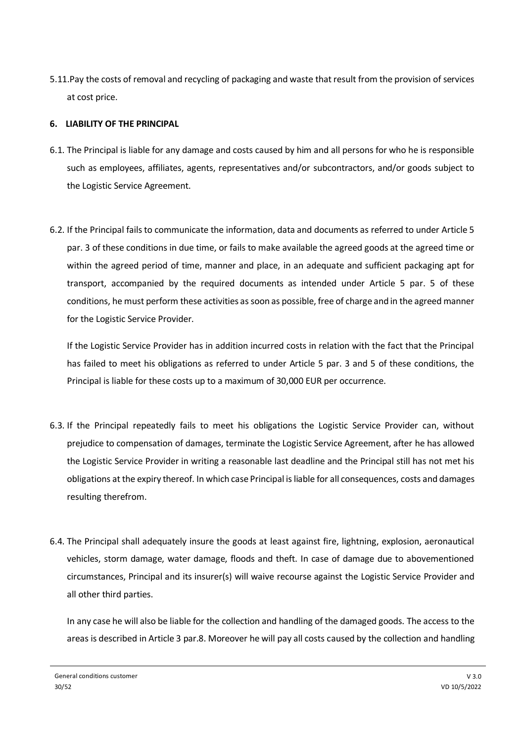5.11.Pay the costs of removal and recycling of packaging and waste that result from the provision of services at cost price.

# **6. LIABILITY OF THE PRINCIPAL**

- 6.1. The Principal is liable for any damage and costs caused by him and all persons for who he is responsible such as employees, affiliates, agents, representatives and/or subcontractors, and/or goods subject to the Logistic Service Agreement.
- 6.2. If the Principal fails to communicate the information, data and documents as referred to under Article 5 par. 3 of these conditions in due time, or fails to make available the agreed goods at the agreed time or within the agreed period of time, manner and place, in an adequate and sufficient packaging apt for transport, accompanied by the required documents as intended under Article 5 par. 5 of these conditions, he must perform these activities as soon as possible, free of charge and in the agreed manner for the Logistic Service Provider.

If the Logistic Service Provider has in addition incurred costs in relation with the fact that the Principal has failed to meet his obligations as referred to under Article 5 par. 3 and 5 of these conditions, the Principal is liable for these costs up to a maximum of 30,000 EUR per occurrence.

- 6.3. If the Principal repeatedly fails to meet his obligations the Logistic Service Provider can, without prejudice to compensation of damages, terminate the Logistic Service Agreement, after he has allowed the Logistic Service Provider in writing a reasonable last deadline and the Principal still has not met his obligations at the expiry thereof. In which case Principal is liable for all consequences, costs and damages resulting therefrom.
- 6.4. The Principal shall adequately insure the goods at least against fire, lightning, explosion, aeronautical vehicles, storm damage, water damage, floods and theft. In case of damage due to abovementioned circumstances, Principal and its insurer(s) will waive recourse against the Logistic Service Provider and all other third parties.

In any case he will also be liable for the collection and handling of the damaged goods. The access to the areas is described in Article 3 par.8. Moreover he will pay all costs caused by the collection and handling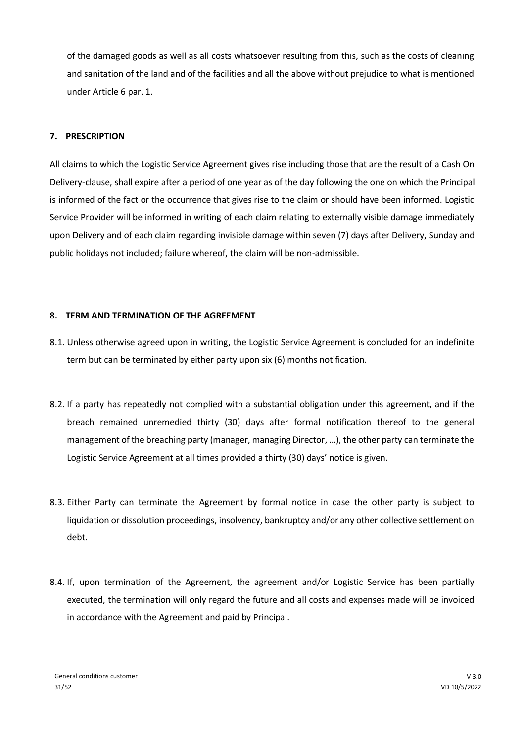of the damaged goods as well as all costs whatsoever resulting from this, such as the costs of cleaning and sanitation of the land and of the facilities and all the above without prejudice to what is mentioned under Article 6 par. 1.

# **7. PRESCRIPTION**

All claims to which the Logistic Service Agreement gives rise including those that are the result of a Cash On Delivery-clause, shall expire after a period of one year as of the day following the one on which the Principal is informed of the fact or the occurrence that gives rise to the claim or should have been informed. Logistic Service Provider will be informed in writing of each claim relating to externally visible damage immediately upon Delivery and of each claim regarding invisible damage within seven (7) days after Delivery, Sunday and public holidays not included; failure whereof, the claim will be non-admissible.

#### **8. TERM AND TERMINATION OF THE AGREEMENT**

- 8.1. Unless otherwise agreed upon in writing, the Logistic Service Agreement is concluded for an indefinite term but can be terminated by either party upon six (6) months notification.
- 8.2. If a party has repeatedly not complied with a substantial obligation under this agreement, and if the breach remained unremedied thirty (30) days after formal notification thereof to the general management of the breaching party (manager, managing Director, …), the other party can terminate the Logistic Service Agreement at all times provided a thirty (30) days' notice is given.
- 8.3. Either Party can terminate the Agreement by formal notice in case the other party is subject to liquidation or dissolution proceedings, insolvency, bankruptcy and/or any other collective settlement on debt.
- 8.4. If, upon termination of the Agreement, the agreement and/or Logistic Service has been partially executed, the termination will only regard the future and all costs and expenses made will be invoiced in accordance with the Agreement and paid by Principal.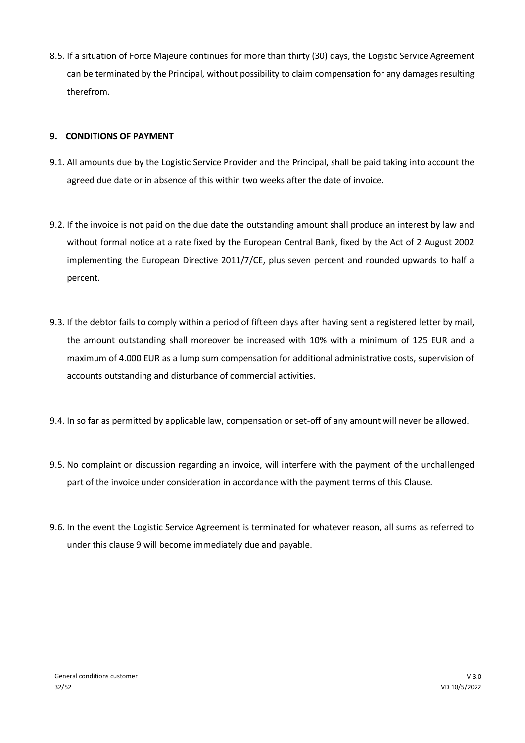8.5. If a situation of Force Majeure continues for more than thirty (30) days, the Logistic Service Agreement can be terminated by the Principal, without possibility to claim compensation for any damages resulting therefrom.

# **9. CONDITIONS OF PAYMENT**

- 9.1. All amounts due by the Logistic Service Provider and the Principal, shall be paid taking into account the agreed due date or in absence of this within two weeks after the date of invoice.
- 9.2. If the invoice is not paid on the due date the outstanding amount shall produce an interest by law and without formal notice at a rate fixed by the European Central Bank, fixed by the Act of 2 August 2002 implementing the European Directive 2011/7/CE, plus seven percent and rounded upwards to half a percent.
- 9.3. If the debtor fails to comply within a period of fifteen days after having sent a registered letter by mail, the amount outstanding shall moreover be increased with 10% with a minimum of 125 EUR and a maximum of 4.000 EUR as a lump sum compensation for additional administrative costs, supervision of accounts outstanding and disturbance of commercial activities.
- 9.4. In so far as permitted by applicable law, compensation or set-off of any amount will never be allowed.
- 9.5. No complaint or discussion regarding an invoice, will interfere with the payment of the unchallenged part of the invoice under consideration in accordance with the payment terms of this Clause.
- 9.6. In the event the Logistic Service Agreement is terminated for whatever reason, all sums as referred to under this clause 9 will become immediately due and payable.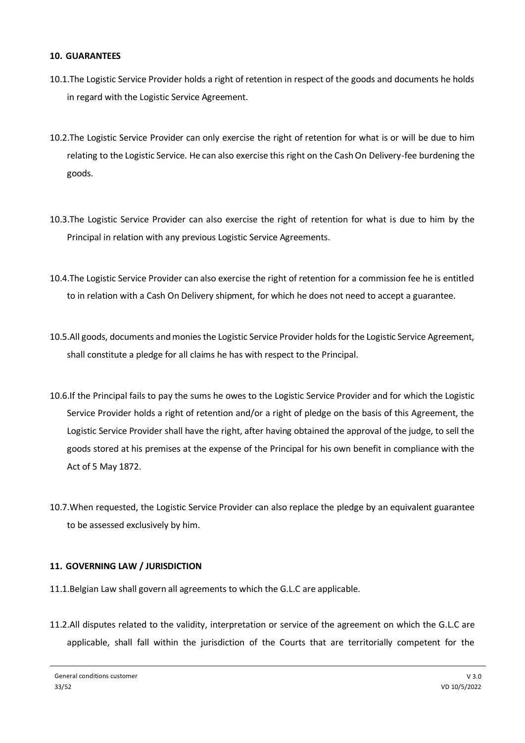#### **10. GUARANTEES**

- 10.1.The Logistic Service Provider holds a right of retention in respect of the goods and documents he holds in regard with the Logistic Service Agreement.
- 10.2.The Logistic Service Provider can only exercise the right of retention for what is or will be due to him relating to the Logistic Service. He can also exercise this right on the Cash On Delivery-fee burdening the goods.
- 10.3.The Logistic Service Provider can also exercise the right of retention for what is due to him by the Principal in relation with any previous Logistic Service Agreements.
- 10.4.The Logistic Service Provider can also exercise the right of retention for a commission fee he is entitled to in relation with a Cash On Delivery shipment, for which he does not need to accept a guarantee.
- 10.5.All goods, documents and monies the Logistic Service Provider holds for the Logistic Service Agreement, shall constitute a pledge for all claims he has with respect to the Principal.
- 10.6.If the Principal fails to pay the sums he owes to the Logistic Service Provider and for which the Logistic Service Provider holds a right of retention and/or a right of pledge on the basis of this Agreement, the Logistic Service Provider shall have the right, after having obtained the approval of the judge, to sell the goods stored at his premises at the expense of the Principal for his own benefit in compliance with the Act of 5 May 1872.
- 10.7.When requested, the Logistic Service Provider can also replace the pledge by an equivalent guarantee to be assessed exclusively by him.

# **11. GOVERNING LAW / JURISDICTION**

- 11.1.Belgian Law shall govern all agreements to which the G.L.C are applicable.
- 11.2.All disputes related to the validity, interpretation or service of the agreement on which the G.L.C are applicable, shall fall within the jurisdiction of the Courts that are territorially competent for the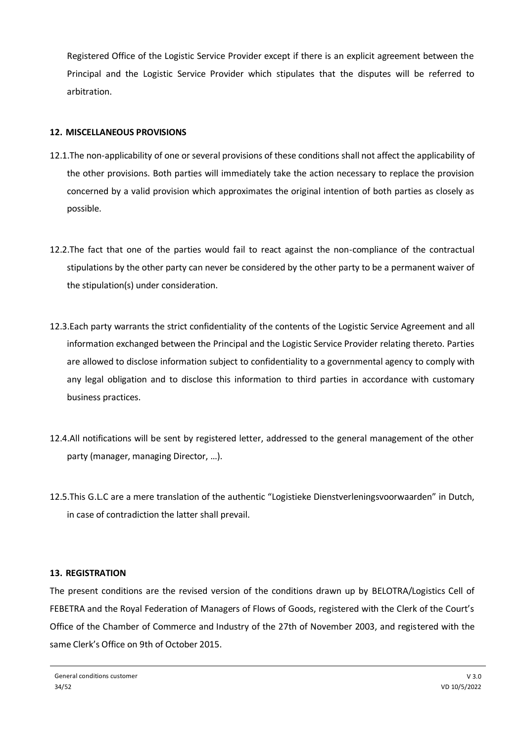Registered Office of the Logistic Service Provider except if there is an explicit agreement between the Principal and the Logistic Service Provider which stipulates that the disputes will be referred to arbitration.

# **12. MISCELLANEOUS PROVISIONS**

- 12.1.The non-applicability of one or several provisions of these conditions shall not affect the applicability of the other provisions. Both parties will immediately take the action necessary to replace the provision concerned by a valid provision which approximates the original intention of both parties as closely as possible.
- 12.2.The fact that one of the parties would fail to react against the non-compliance of the contractual stipulations by the other party can never be considered by the other party to be a permanent waiver of the stipulation(s) under consideration.
- 12.3.Each party warrants the strict confidentiality of the contents of the Logistic Service Agreement and all information exchanged between the Principal and the Logistic Service Provider relating thereto. Parties are allowed to disclose information subject to confidentiality to a governmental agency to comply with any legal obligation and to disclose this information to third parties in accordance with customary business practices.
- 12.4.All notifications will be sent by registered letter, addressed to the general management of the other party (manager, managing Director, …).
- 12.5.This G.L.C are a mere translation of the authentic "Logistieke Dienstverleningsvoorwaarden" in Dutch, in case of contradiction the latter shall prevail.

# **13. REGISTRATION**

The present conditions are the revised version of the conditions drawn up by BELOTRA/Logistics Cell of FEBETRA and the Royal Federation of Managers of Flows of Goods, registered with the Clerk of the Court's Office of the Chamber of Commerce and Industry of the 27th of November 2003, and registered with the same Clerk's Office on 9th of October 2015.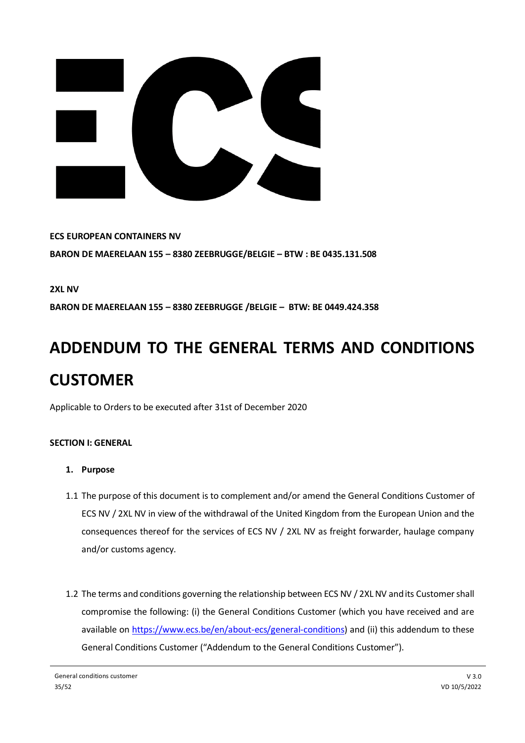

**ECS EUROPEAN CONTAINERS NV BARON DE MAERELAAN 155 – 8380 ZEEBRUGGE/BELGIE – BTW : BE 0435.131.508**

**2XL NV**

**BARON DE MAERELAAN 155 – 8380 ZEEBRUGGE /BELGIE – BTW: BE 0449.424.358**

# **ADDENDUM TO THE GENERAL TERMS AND CONDITIONS CUSTOMER**

Applicable to Orders to be executed after 31st of December 2020

# **SECTION I: GENERAL**

- **1. Purpose**
- 1.1 The purpose of this document is to complement and/or amend the General Conditions Customer of ECS NV / 2XL NV in view of the withdrawal of the United Kingdom from the European Union and the consequences thereof for the services of ECS NV / 2XL NV as freight forwarder, haulage company and/or customs agency.
- 1.2 The terms and conditions governing the relationship between ECS NV / 2XL NV and its Customer shall compromise the following: (i) the General Conditions Customer (which you have received and are available on [https://www.ecs.be/en/about-ecs/general-conditions\)](https://www.ecs.be/en/about-ecs/general-conditions) and (ii) this addendum to these General Conditions Customer ("Addendum to the General Conditions Customer").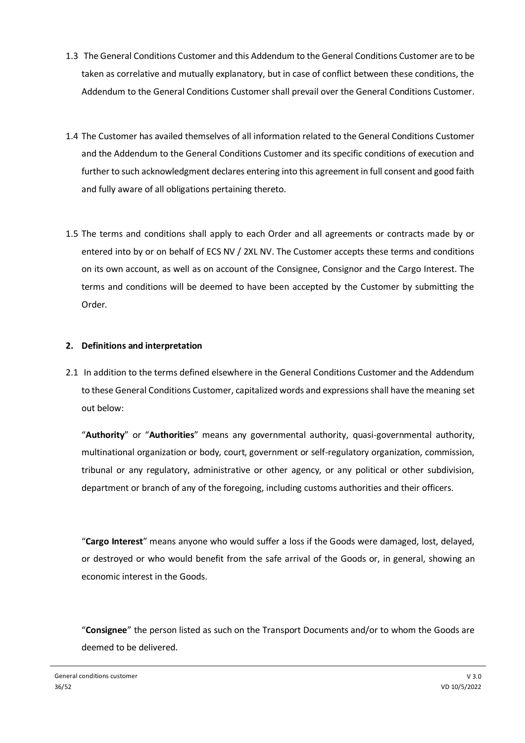- 1.3 The General Conditions Customer and this Addendum to the General Conditions Customer are to be taken as correlative and mutually explanatory, but in case of conflict between these conditions, the Addendum to the General Conditions Customer shall prevail over the General Conditions Customer.
- 1.4 The Customer has availed themselves of all information related to the General Conditions Customer and the Addendum to the General Conditions Customer and its specific conditions of execution and further to such acknowledgment declares entering into this agreement in full consent and good faith and fully aware of all obligations pertaining thereto.
- 1.5 The terms and conditions shall apply to each Order and all agreements or contracts made by or entered into by or on behalf of ECS NV / 2XL NV. The Customer accepts these terms and conditions on its own account, as well as on account of the Consignee, Consignor and the Cargo Interest. The terms and conditions will be deemed to have been accepted by the Customer by submitting the Order.

# **2. Definitions and interpretation**

2.1 In addition to the terms defined elsewhere in the General Conditions Customer and the Addendum to these General Conditions Customer, capitalized words and expressions shall have the meaning set out below:

"**Authority**" or "**Authorities**" means any governmental authority, quasi-governmental authority, multinational organization or body, court, government or self-regulatory organization, commission, tribunal or any regulatory, administrative or other agency, or any political or other subdivision, department or branch of any of the foregoing, including customs authorities and their officers.

"**Cargo Interest**" means anyone who would suffer a loss if the Goods were damaged, lost, delayed, or destroyed or who would benefit from the safe arrival of the Goods or, in general, showing an economic interest in the Goods.

"**Consignee**" the person listed as such on the Transport Documents and/or to whom the Goods are deemed to be delivered.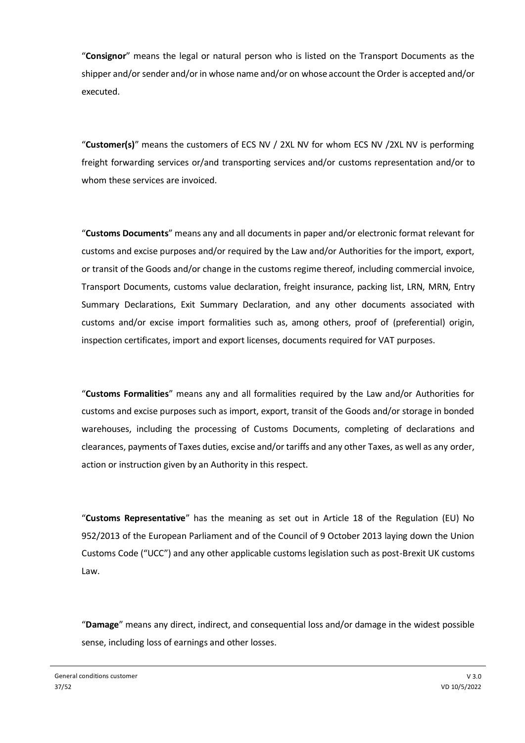"**Consignor**" means the legal or natural person who is listed on the Transport Documents as the shipper and/or sender and/or in whose name and/or on whose account the Order is accepted and/or executed.

"**Customer(s)**" means the customers of ECS NV / 2XL NV for whom ECS NV /2XL NV is performing freight forwarding services or/and transporting services and/or customs representation and/or to whom these services are invoiced.

"**Customs Documents**" means any and all documents in paper and/or electronic format relevant for customs and excise purposes and/or required by the Law and/or Authorities for the import, export, or transit of the Goods and/or change in the customs regime thereof, including commercial invoice, Transport Documents, customs value declaration, freight insurance, packing list, LRN, MRN, Entry Summary Declarations, Exit Summary Declaration, and any other documents associated with customs and/or excise import formalities such as, among others, proof of (preferential) origin, inspection certificates, import and export licenses, documents required for VAT purposes.

"**Customs Formalities**" means any and all formalities required by the Law and/or Authorities for customs and excise purposes such as import, export, transit of the Goods and/or storage in bonded warehouses, including the processing of Customs Documents, completing of declarations and clearances, payments of Taxes duties, excise and/or tariffs and any other Taxes, as well as any order, action or instruction given by an Authority in this respect.

"**Customs Representative**" has the meaning as set out in Article 18 of the Regulation (EU) No 952/2013 of the European Parliament and of the Council of 9 October 2013 laying down the Union Customs Code ("UCC") and any other applicable customs legislation such as post-Brexit UK customs Law.

"**Damage**" means any direct, indirect, and consequential loss and/or damage in the widest possible sense, including loss of earnings and other losses.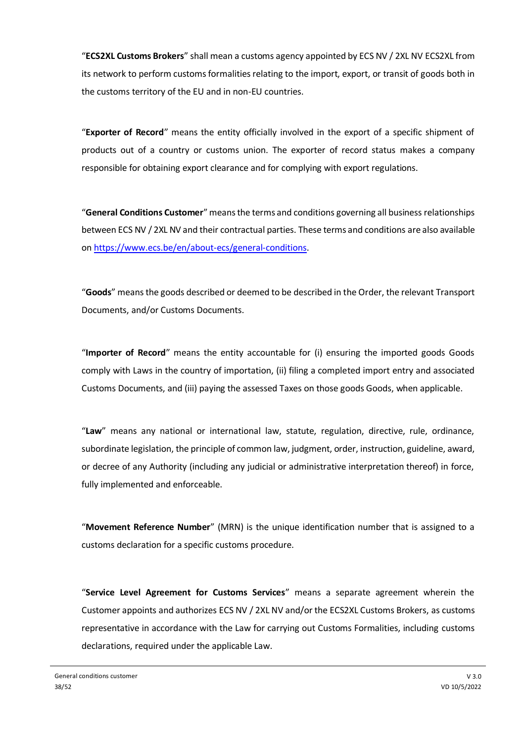"**ECS2XL Customs Brokers**" shall mean a customs agency appointed by ECS NV / 2XL NV ECS2XL from its network to perform customs formalities relating to the import, export, or transit of goods both in the customs territory of the EU and in non-EU countries.

"**Exporter of Record**" means the entity officially involved in the export of a specific shipment of products out of a country or customs union. The exporter of record status makes a company responsible for obtaining export clearance and for complying with export regulations.

"**General Conditions Customer**" means the terms and conditions governing all business relationships between ECS NV / 2XL NV and their contractual parties. These terms and conditions are also available on [https://www.ecs.be/en/about-ecs/general-conditions.](https://www.ecs.be/en/about-ecs/general-conditions)

"**Goods**" means the goods described or deemed to be described in the Order, the relevant Transport Documents, and/or Customs Documents.

"**Importer of Record**" means the entity accountable for (i) ensuring the imported goods Goods comply with Laws in the country of importation, (ii) filing a completed import entry and associated Customs Documents, and (iii) paying the assessed Taxes on those goods Goods, when applicable.

"**Law**" means any national or international law, statute, regulation, directive, rule, ordinance, subordinate legislation, the principle of common law, judgment, order, instruction, guideline, award, or decree of any Authority (including any judicial or administrative interpretation thereof) in force, fully implemented and enforceable.

"**Movement Reference Number**" (MRN) is the unique identification number that is assigned to a customs declaration for a specific customs procedure.

"**Service Level Agreement for Customs Services**" means a separate agreement wherein the Customer appoints and authorizes ECS NV / 2XL NV and/or the ECS2XL Customs Brokers, as customs representative in accordance with the Law for carrying out Customs Formalities, including customs declarations, required under the applicable Law.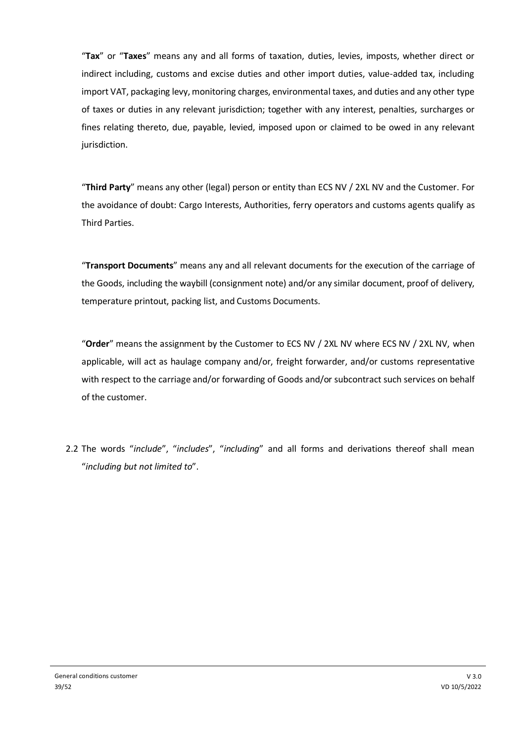"**Tax**" or "**Taxes**" means any and all forms of taxation, duties, levies, imposts, whether direct or indirect including, customs and excise duties and other import duties, value-added tax, including import VAT, packaging levy, monitoring charges, environmental taxes, and duties and any other type of taxes or duties in any relevant jurisdiction; together with any interest, penalties, surcharges or fines relating thereto, due, payable, levied, imposed upon or claimed to be owed in any relevant jurisdiction.

"**Third Party**" means any other (legal) person or entity than ECS NV / 2XL NV and the Customer. For the avoidance of doubt: Cargo Interests, Authorities, ferry operators and customs agents qualify as Third Parties.

"**Transport Documents**" means any and all relevant documents for the execution of the carriage of the Goods, including the waybill (consignment note) and/or any similar document, proof of delivery, temperature printout, packing list, and Customs Documents.

"**Order**" means the assignment by the Customer to ECS NV / 2XL NV where ECS NV / 2XL NV, when applicable, will act as haulage company and/or, freight forwarder, and/or customs representative with respect to the carriage and/or forwarding of Goods and/or subcontract such services on behalf of the customer.

2.2 The words "*include*", "*includes*", "*including*" and all forms and derivations thereof shall mean "*including but not limited to*".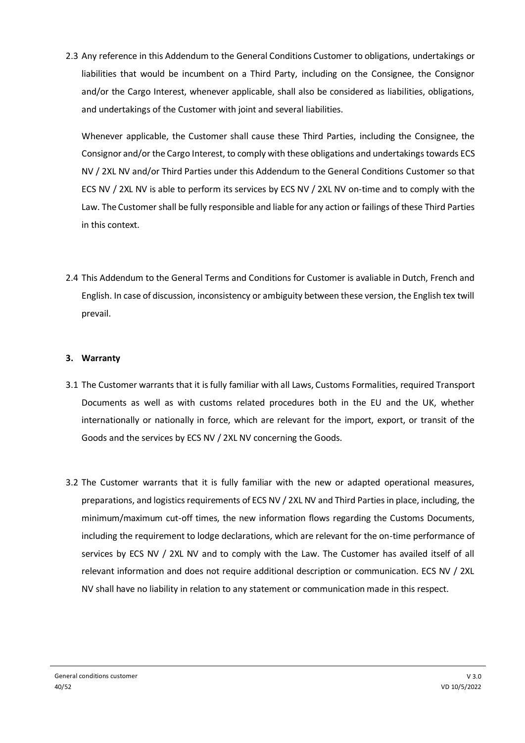2.3 Any reference in this Addendum to the General Conditions Customer to obligations, undertakings or liabilities that would be incumbent on a Third Party, including on the Consignee, the Consignor and/or the Cargo Interest, whenever applicable, shall also be considered as liabilities, obligations, and undertakings of the Customer with joint and several liabilities.

Whenever applicable, the Customer shall cause these Third Parties, including the Consignee, the Consignor and/or the Cargo Interest, to comply with these obligations and undertakings towards ECS NV / 2XL NV and/or Third Parties under this Addendum to the General Conditions Customer so that ECS NV / 2XL NV is able to perform its services by ECS NV / 2XL NV on-time and to comply with the Law. The Customer shall be fully responsible and liable for any action or failings of these Third Parties in this context.

2.4 This Addendum to the General Terms and Conditions for Customer is avaliable in Dutch, French and English. In case of discussion, inconsistency or ambiguity between these version, the English tex twill prevail.

# **3. Warranty**

- 3.1 The Customer warrants that it is fully familiar with all Laws, Customs Formalities, required Transport Documents as well as with customs related procedures both in the EU and the UK, whether internationally or nationally in force, which are relevant for the import, export, or transit of the Goods and the services by ECS NV / 2XL NV concerning the Goods.
- 3.2 The Customer warrants that it is fully familiar with the new or adapted operational measures, preparations, and logistics requirements of ECS NV / 2XL NV and Third Parties in place, including, the minimum/maximum cut-off times, the new information flows regarding the Customs Documents, including the requirement to lodge declarations, which are relevant for the on-time performance of services by ECS NV / 2XL NV and to comply with the Law. The Customer has availed itself of all relevant information and does not require additional description or communication. ECS NV / 2XL NV shall have no liability in relation to any statement or communication made in this respect.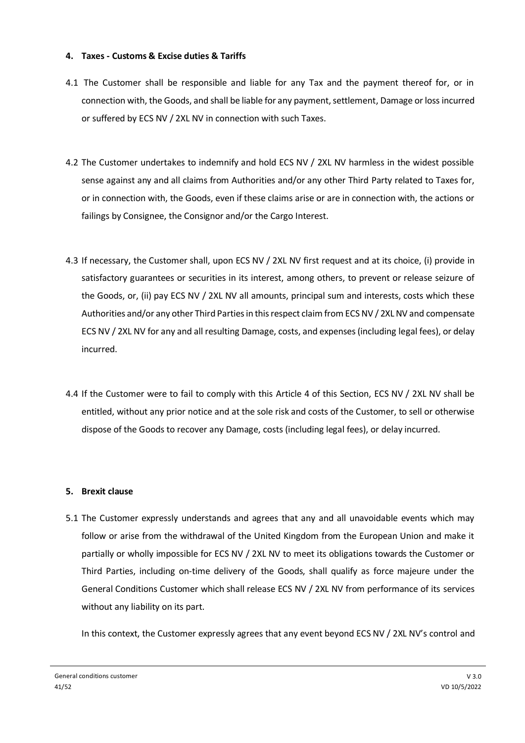## **4. Taxes - Customs & Excise duties & Tariffs**

- 4.1 The Customer shall be responsible and liable for any Tax and the payment thereof for, or in connection with, the Goods, and shall be liable for any payment, settlement, Damage or lossincurred or suffered by ECS NV / 2XL NV in connection with such Taxes.
- 4.2 The Customer undertakes to indemnify and hold ECS NV / 2XL NV harmless in the widest possible sense against any and all claims from Authorities and/or any other Third Party related to Taxes for, or in connection with, the Goods, even if these claims arise or are in connection with, the actions or failings by Consignee, the Consignor and/or the Cargo Interest.
- 4.3 If necessary, the Customer shall, upon ECS NV / 2XL NV first request and at its choice, (i) provide in satisfactory guarantees or securities in its interest, among others, to prevent or release seizure of the Goods, or, (ii) pay ECS NV / 2XL NV all amounts, principal sum and interests, costs which these Authorities and/or any other Third Parties in this respect claim from ECS NV / 2XL NV and compensate ECS NV / 2XL NV for any and all resulting Damage, costs, and expenses (including legal fees), or delay incurred.
- 4.4 If the Customer were to fail to comply with this Article 4 of this Section, ECS NV / 2XL NV shall be entitled, without any prior notice and at the sole risk and costs of the Customer, to sell or otherwise dispose of the Goods to recover any Damage, costs (including legal fees), or delay incurred.

# **5. Brexit clause**

5.1 The Customer expressly understands and agrees that any and all unavoidable events which may follow or arise from the withdrawal of the United Kingdom from the European Union and make it partially or wholly impossible for ECS NV / 2XL NV to meet its obligations towards the Customer or Third Parties, including on-time delivery of the Goods, shall qualify as force majeure under the General Conditions Customer which shall release ECS NV / 2XL NV from performance of its services without any liability on its part.

In this context, the Customer expressly agrees that any event beyond ECS NV / 2XL NV's control and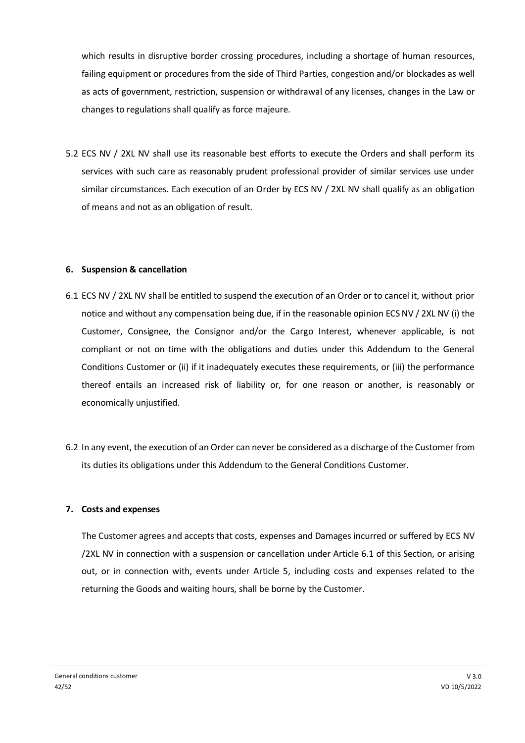which results in disruptive border crossing procedures, including a shortage of human resources, failing equipment or procedures from the side of Third Parties, congestion and/or blockades as well as acts of government, restriction, suspension or withdrawal of any licenses, changes in the Law or changes to regulations shall qualify as force majeure.

5.2 ECS NV / 2XL NV shall use its reasonable best efforts to execute the Orders and shall perform its services with such care as reasonably prudent professional provider of similar services use under similar circumstances. Each execution of an Order by ECS NV / 2XL NV shall qualify as an obligation of means and not as an obligation of result.

# **6. Suspension & cancellation**

- 6.1 ECS NV / 2XL NV shall be entitled to suspend the execution of an Order or to cancel it, without prior notice and without any compensation being due, if in the reasonable opinion ECS NV / 2XL NV (i) the Customer, Consignee, the Consignor and/or the Cargo Interest, whenever applicable, is not compliant or not on time with the obligations and duties under this Addendum to the General Conditions Customer or (ii) if it inadequately executes these requirements, or (iii) the performance thereof entails an increased risk of liability or, for one reason or another, is reasonably or economically unjustified.
- 6.2 In any event, the execution of an Order can never be considered as a discharge of the Customer from its duties its obligations under this Addendum to the General Conditions Customer.

#### **7. Costs and expenses**

The Customer agrees and accepts that costs, expenses and Damages incurred or suffered by ECS NV /2XL NV in connection with a suspension or cancellation under Article 6.1 of this Section, or arising out, or in connection with, events under Article 5, including costs and expenses related to the returning the Goods and waiting hours, shall be borne by the Customer.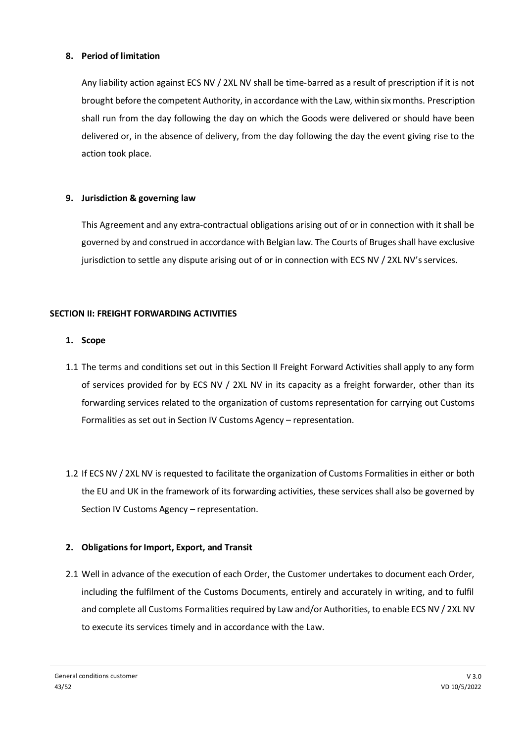# **8. Period of limitation**

Any liability action against ECS NV / 2XL NV shall be time-barred as a result of prescription if it is not brought before the competent Authority, in accordance with the Law, within six months. Prescription shall run from the day following the day on which the Goods were delivered or should have been delivered or, in the absence of delivery, from the day following the day the event giving rise to the action took place.

# **9. Jurisdiction & governing law**

This Agreement and any extra-contractual obligations arising out of or in connection with it shall be governed by and construed in accordance with Belgian law. The Courts of Bruges shall have exclusive jurisdiction to settle any dispute arising out of or in connection with ECS NV / 2XL NV's services.

# **SECTION II: FREIGHT FORWARDING ACTIVITIES**

# **1. Scope**

- 1.1 The terms and conditions set out in this Section II Freight Forward Activities shall apply to any form of services provided for by ECS NV / 2XL NV in its capacity as a freight forwarder, other than its forwarding services related to the organization of customs representation for carrying out Customs Formalities as set out in Section IV Customs Agency – representation.
- 1.2 If ECS NV / 2XL NV is requested to facilitate the organization of Customs Formalities in either or both the EU and UK in the framework of its forwarding activities, these services shall also be governed by Section IV Customs Agency – representation.

# **2. Obligations for Import, Export, and Transit**

2.1 Well in advance of the execution of each Order, the Customer undertakes to document each Order, including the fulfilment of the Customs Documents, entirely and accurately in writing, and to fulfil and complete all Customs Formalities required by Law and/or Authorities, to enable ECS NV / 2XL NV to execute its services timely and in accordance with the Law.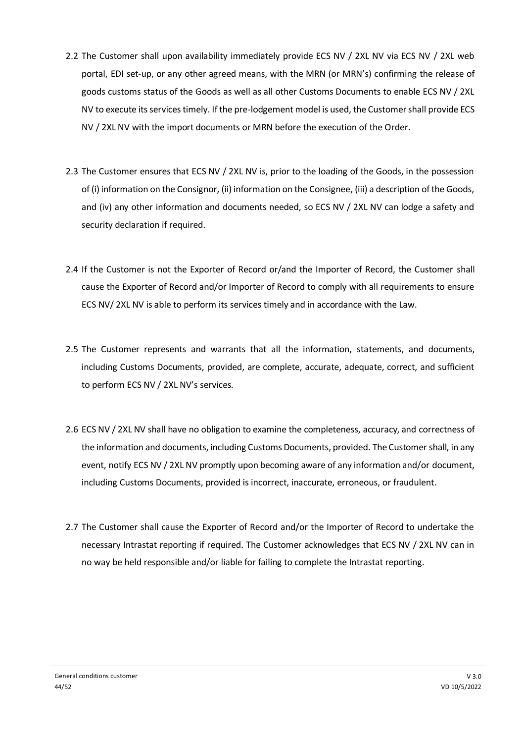- 2.2 The Customer shall upon availability immediately provide ECS NV / 2XL NV via ECS NV / 2XL web portal, EDI set-up, or any other agreed means, with the MRN (or MRN's) confirming the release of goods customs status of the Goods as well as all other Customs Documents to enable ECS NV / 2XL NV to execute its services timely. If the pre-lodgement model is used, the Customer shall provide ECS NV / 2XL NV with the import documents or MRN before the execution of the Order.
- 2.3 The Customer ensures that ECS NV / 2XL NV is, prior to the loading of the Goods, in the possession of (i) information on the Consignor, (ii) information on the Consignee, (iii) a description of the Goods, and (iv) any other information and documents needed, so ECS NV / 2XL NV can lodge a safety and security declaration if required.
- 2.4 If the Customer is not the Exporter of Record or/and the Importer of Record, the Customer shall cause the Exporter of Record and/or Importer of Record to comply with all requirements to ensure ECS NV/ 2XL NV is able to perform its services timely and in accordance with the Law.
- 2.5 The Customer represents and warrants that all the information, statements, and documents, including Customs Documents, provided, are complete, accurate, adequate, correct, and sufficient to perform ECS NV / 2XL NV's services.
- 2.6 ECS NV / 2XL NV shall have no obligation to examine the completeness, accuracy, and correctness of the information and documents, including Customs Documents, provided. The Customer shall, in any event, notify ECS NV / 2XL NV promptly upon becoming aware of any information and/or document, including Customs Documents, provided is incorrect, inaccurate, erroneous, or fraudulent.
- 2.7 The Customer shall cause the Exporter of Record and/or the Importer of Record to undertake the necessary Intrastat reporting if required. The Customer acknowledges that ECS NV / 2XL NV can in no way be held responsible and/or liable for failing to complete the Intrastat reporting.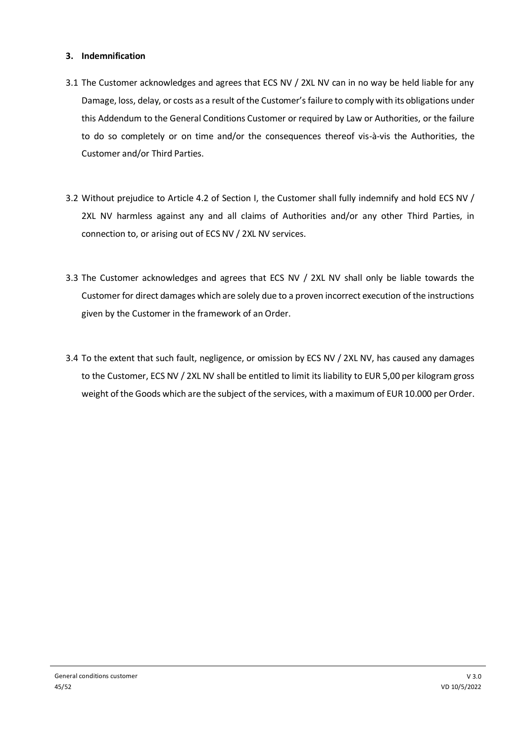# **3. Indemnification**

- 3.1 The Customer acknowledges and agrees that ECS NV / 2XL NV can in no way be held liable for any Damage, loss, delay, or costs as a result of the Customer's failure to comply with its obligations under this Addendum to the General Conditions Customer or required by Law or Authorities, or the failure to do so completely or on time and/or the consequences thereof vis-à-vis the Authorities, the Customer and/or Third Parties.
- 3.2 Without prejudice to Article 4.2 of Section I, the Customer shall fully indemnify and hold ECS NV / 2XL NV harmless against any and all claims of Authorities and/or any other Third Parties, in connection to, or arising out of ECS NV / 2XL NV services.
- 3.3 The Customer acknowledges and agrees that ECS NV / 2XL NV shall only be liable towards the Customer for direct damages which are solely due to a proven incorrect execution of the instructions given by the Customer in the framework of an Order.
- 3.4 To the extent that such fault, negligence, or omission by ECS NV / 2XL NV, has caused any damages to the Customer, ECS NV / 2XL NV shall be entitled to limit its liability to EUR 5,00 per kilogram gross weight of the Goods which are the subject of the services, with a maximum of EUR 10.000 per Order.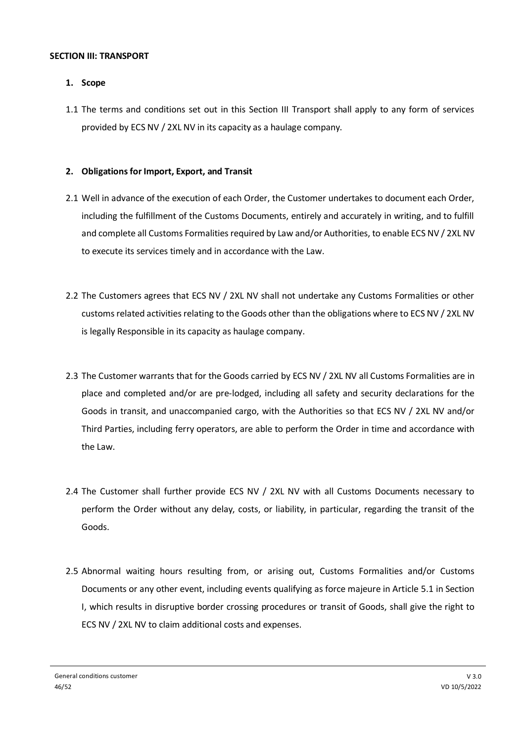#### **SECTION III: TRANSPORT**

# **1. Scope**

1.1 The terms and conditions set out in this Section III Transport shall apply to any form of services provided by ECS NV / 2XL NV in its capacity as a haulage company.

# **2. Obligations for Import, Export, and Transit**

- 2.1 Well in advance of the execution of each Order, the Customer undertakes to document each Order, including the fulfillment of the Customs Documents, entirely and accurately in writing, and to fulfill and complete all Customs Formalities required by Law and/or Authorities, to enable ECS NV / 2XL NV to execute its services timely and in accordance with the Law.
- 2.2 The Customers agrees that ECS NV / 2XL NV shall not undertake any Customs Formalities or other customs related activities relating to the Goods other than the obligations where to ECS NV / 2XL NV is legally Responsible in its capacity as haulage company.
- 2.3 The Customer warrants that for the Goods carried by ECS NV / 2XL NV all Customs Formalities are in place and completed and/or are pre-lodged, including all safety and security declarations for the Goods in transit, and unaccompanied cargo, with the Authorities so that ECS NV / 2XL NV and/or Third Parties, including ferry operators, are able to perform the Order in time and accordance with the Law.
- 2.4 The Customer shall further provide ECS NV / 2XL NV with all Customs Documents necessary to perform the Order without any delay, costs, or liability, in particular, regarding the transit of the Goods.
- 2.5 Abnormal waiting hours resulting from, or arising out, Customs Formalities and/or Customs Documents or any other event, including events qualifying as force majeure in Article 5.1 in Section I, which results in disruptive border crossing procedures or transit of Goods, shall give the right to ECS NV / 2XL NV to claim additional costs and expenses.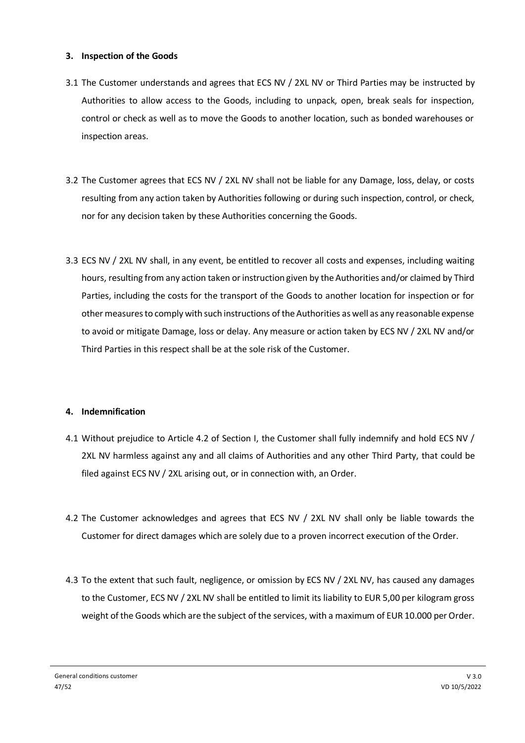#### **3. Inspection of the Goods**

- 3.1 The Customer understands and agrees that ECS NV / 2XL NV or Third Parties may be instructed by Authorities to allow access to the Goods, including to unpack, open, break seals for inspection, control or check as well as to move the Goods to another location, such as bonded warehouses or inspection areas.
- 3.2 The Customer agrees that ECS NV / 2XL NV shall not be liable for any Damage, loss, delay, or costs resulting from any action taken by Authorities following or during such inspection, control, or check, nor for any decision taken by these Authorities concerning the Goods.
- 3.3 ECS NV / 2XL NV shall, in any event, be entitled to recover all costs and expenses, including waiting hours, resulting from any action taken or instruction given by the Authorities and/or claimed by Third Parties, including the costs for the transport of the Goods to another location for inspection or for other measures to comply with such instructions of the Authorities as well as any reasonable expense to avoid or mitigate Damage, loss or delay. Any measure or action taken by ECS NV / 2XL NV and/or Third Parties in this respect shall be at the sole risk of the Customer.

# **4. Indemnification**

- 4.1 Without prejudice to Article 4.2 of Section I, the Customer shall fully indemnify and hold ECS NV / 2XL NV harmless against any and all claims of Authorities and any other Third Party, that could be filed against ECS NV / 2XL arising out, or in connection with, an Order.
- 4.2 The Customer acknowledges and agrees that ECS NV / 2XL NV shall only be liable towards the Customer for direct damages which are solely due to a proven incorrect execution of the Order.
- 4.3 To the extent that such fault, negligence, or omission by ECS NV / 2XL NV, has caused any damages to the Customer, ECS NV / 2XL NV shall be entitled to limit its liability to EUR 5,00 per kilogram gross weight of the Goods which are the subject of the services, with a maximum of EUR 10.000 per Order.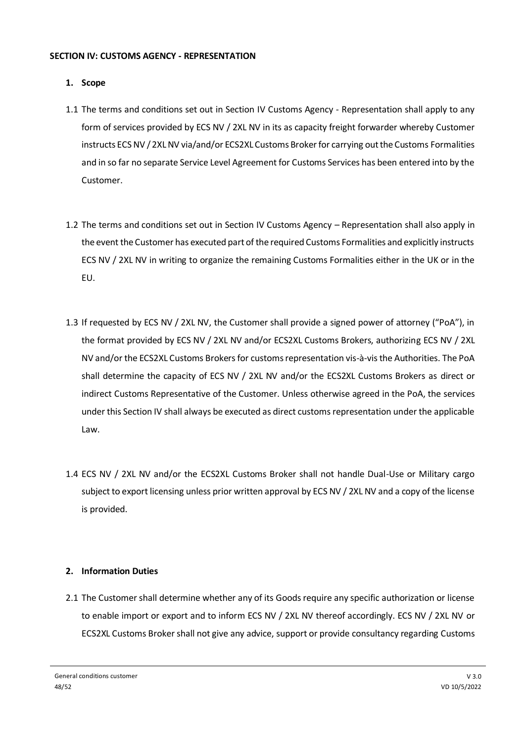#### **SECTION IV: CUSTOMS AGENCY - REPRESENTATION**

# **1. Scope**

- 1.1 The terms and conditions set out in Section IV Customs Agency Representation shall apply to any form of services provided by ECS NV / 2XL NV in its as capacity freight forwarder whereby Customer instructs ECS NV / 2XL NV via/and/or ECS2XL Customs Broker for carrying out the Customs Formalities and in so far no separate Service Level Agreement for Customs Services has been entered into by the Customer.
- 1.2 The terms and conditions set out in Section IV Customs Agency Representation shall also apply in the event the Customer has executed part of the required Customs Formalities and explicitly instructs ECS NV / 2XL NV in writing to organize the remaining Customs Formalities either in the UK or in the EU.
- 1.3 If requested by ECS NV / 2XL NV, the Customer shall provide a signed power of attorney ("PoA"), in the format provided by ECS NV / 2XL NV and/or ECS2XL Customs Brokers, authorizing ECS NV / 2XL NV and/or the ECS2XL Customs Brokers for customs representation vis-à-vis the Authorities. The PoA shall determine the capacity of ECS NV / 2XL NV and/or the ECS2XL Customs Brokers as direct or indirect Customs Representative of the Customer. Unless otherwise agreed in the PoA, the services under this Section IV shall always be executed as direct customs representation under the applicable Law.
- 1.4 ECS NV / 2XL NV and/or the ECS2XL Customs Broker shall not handle Dual-Use or Military cargo subject to export licensing unless prior written approval by ECS NV / 2XL NV and a copy of the license is provided.

# **2. Information Duties**

2.1 The Customer shall determine whether any of its Goods require any specific authorization or license to enable import or export and to inform ECS NV / 2XL NV thereof accordingly. ECS NV / 2XL NV or ECS2XL Customs Broker shall not give any advice, support or provide consultancy regarding Customs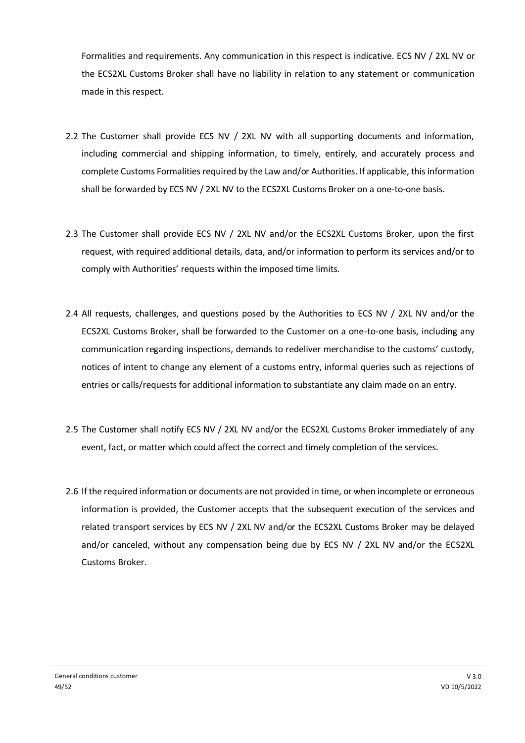Formalities and requirements. Any communication in this respect is indicative. ECS NV / 2XL NV or the ECS2XL Customs Broker shall have no liability in relation to any statement or communication made in this respect.

- 2.2 The Customer shall provide ECS NV / 2XL NV with all supporting documents and information, including commercial and shipping information, to timely, entirely, and accurately process and complete Customs Formalities required by the Law and/or Authorities. If applicable, this information shall be forwarded by ECS NV / 2XL NV to the ECS2XL Customs Broker on a one-to-one basis.
- 2.3 The Customer shall provide ECS NV / 2XL NV and/or the ECS2XL Customs Broker, upon the first request, with required additional details, data, and/or information to perform its services and/or to comply with Authorities' requests within the imposed time limits.
- 2.4 All requests, challenges, and questions posed by the Authorities to ECS NV / 2XL NV and/or the ECS2XL Customs Broker, shall be forwarded to the Customer on a one-to-one basis, including any communication regarding inspections, demands to redeliver merchandise to the customs' custody, notices of intent to change any element of a customs entry, informal queries such as rejections of entries or calls/requests for additional information to substantiate any claim made on an entry.
- 2.5 The Customer shall notify ECS NV / 2XL NV and/or the ECS2XL Customs Broker immediately of any event, fact, or matter which could affect the correct and timely completion of the services.
- 2.6 If the required information or documents are not provided in time, or when incomplete or erroneous information is provided, the Customer accepts that the subsequent execution of the services and related transport services by ECS NV / 2XL NV and/or the ECS2XL Customs Broker may be delayed and/or canceled, without any compensation being due by ECS NV / 2XL NV and/or the ECS2XL Customs Broker.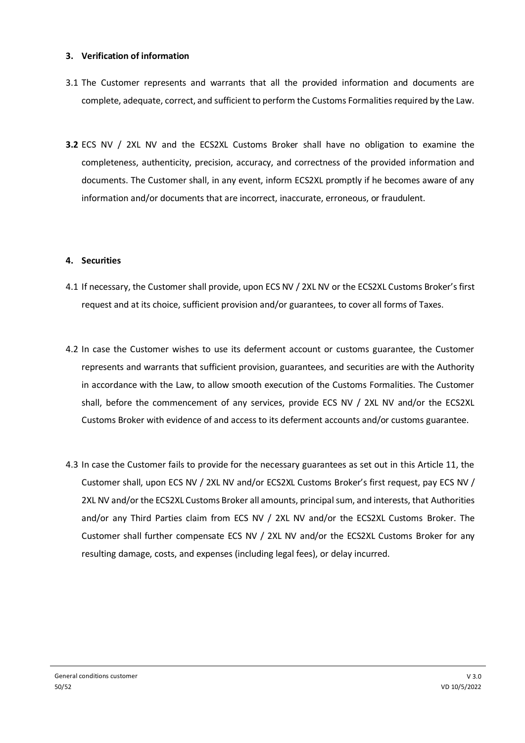## **3. Verification of information**

- 3.1 The Customer represents and warrants that all the provided information and documents are complete, adequate, correct, and sufficient to perform the Customs Formalities required by the Law.
- **3.2** ECS NV / 2XL NV and the ECS2XL Customs Broker shall have no obligation to examine the completeness, authenticity, precision, accuracy, and correctness of the provided information and documents. The Customer shall, in any event, inform ECS2XL promptly if he becomes aware of any information and/or documents that are incorrect, inaccurate, erroneous, or fraudulent.

#### **4. Securities**

- 4.1 If necessary, the Customer shall provide, upon ECS NV / 2XL NV or the ECS2XL Customs Broker's first request and at its choice, sufficient provision and/or guarantees, to cover all forms of Taxes.
- 4.2 In case the Customer wishes to use its deferment account or customs guarantee, the Customer represents and warrants that sufficient provision, guarantees, and securities are with the Authority in accordance with the Law, to allow smooth execution of the Customs Formalities. The Customer shall, before the commencement of any services, provide ECS NV / 2XL NV and/or the ECS2XL Customs Broker with evidence of and access to its deferment accounts and/or customs guarantee.
- 4.3 In case the Customer fails to provide for the necessary guarantees as set out in this Article 11, the Customer shall, upon ECS NV / 2XL NV and/or ECS2XL Customs Broker's first request, pay ECS NV / 2XL NV and/or the ECS2XL Customs Broker all amounts, principal sum, and interests, that Authorities and/or any Third Parties claim from ECS NV / 2XL NV and/or the ECS2XL Customs Broker. The Customer shall further compensate ECS NV / 2XL NV and/or the ECS2XL Customs Broker for any resulting damage, costs, and expenses (including legal fees), or delay incurred.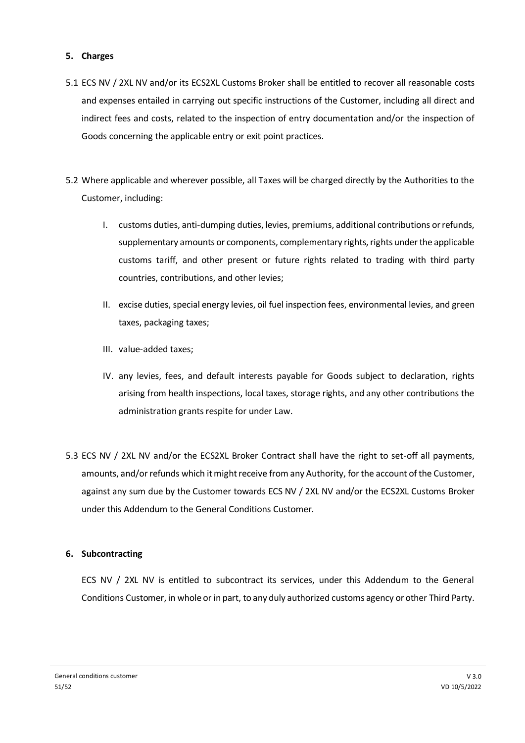# **5. Charges**

- 5.1 ECS NV / 2XL NV and/or its ECS2XL Customs Broker shall be entitled to recover all reasonable costs and expenses entailed in carrying out specific instructions of the Customer, including all direct and indirect fees and costs, related to the inspection of entry documentation and/or the inspection of Goods concerning the applicable entry or exit point practices.
- 5.2 Where applicable and wherever possible, all Taxes will be charged directly by the Authorities to the Customer, including:
	- I. customs duties, anti-dumping duties, levies, premiums, additional contributions or refunds, supplementary amounts or components, complementary rights, rights under the applicable customs tariff, and other present or future rights related to trading with third party countries, contributions, and other levies;
	- II. excise duties, special energy levies, oil fuel inspection fees, environmental levies, and green taxes, packaging taxes;
	- III. value-added taxes;
	- IV. any levies, fees, and default interests payable for Goods subject to declaration, rights arising from health inspections, local taxes, storage rights, and any other contributions the administration grants respite for under Law.
- 5.3 ECS NV / 2XL NV and/or the ECS2XL Broker Contract shall have the right to set-off all payments, amounts, and/or refunds which it might receive from any Authority, for the account of the Customer, against any sum due by the Customer towards ECS NV / 2XL NV and/or the ECS2XL Customs Broker under this Addendum to the General Conditions Customer.

# **6. Subcontracting**

ECS NV / 2XL NV is entitled to subcontract its services, under this Addendum to the General Conditions Customer, in whole or in part, to any duly authorized customs agency or other Third Party.